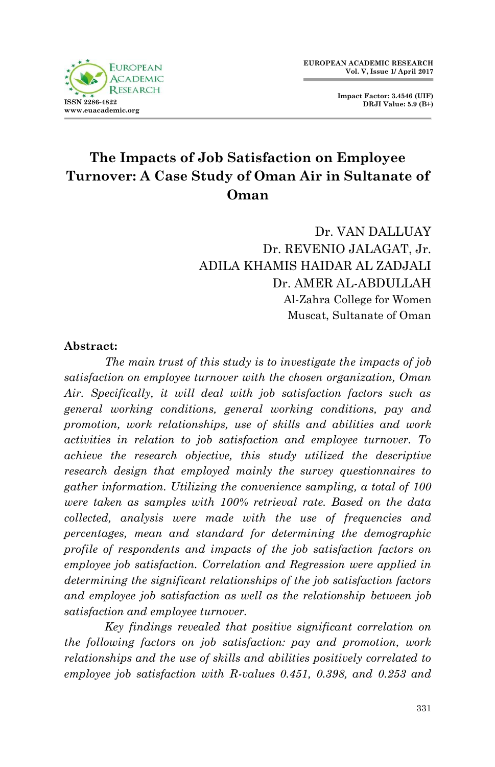

**Impact Factor: 3.4546 (UIF) DRJI Value: 5.9 (B+)**

# **The Impacts of Job Satisfaction on Employee Turnover: A Case Study of Oman Air in Sultanate of Oman**

Dr. VAN DALLUAY Dr. REVENIO JALAGAT, Jr. ADILA KHAMIS HAIDAR AL ZADJALI Dr. AMER AL-ABDULLAH Al-Zahra College for Women Muscat, Sultanate of Oman

#### **Abstract:**

*The main trust of this study is to investigate the impacts of job satisfaction on employee turnover with the chosen organization, Oman Air. Specifically, it will deal with job satisfaction factors such as general working conditions, general working conditions, pay and promotion, work relationships, use of skills and abilities and work activities in relation to job satisfaction and employee turnover. To achieve the research objective, this study utilized the descriptive research design that employed mainly the survey questionnaires to gather information. Utilizing the convenience sampling, a total of 100 were taken as samples with 100% retrieval rate. Based on the data collected, analysis were made with the use of frequencies and percentages, mean and standard for determining the demographic profile of respondents and impacts of the job satisfaction factors on employee job satisfaction. Correlation and Regression were applied in determining the significant relationships of the job satisfaction factors and employee job satisfaction as well as the relationship between job satisfaction and employee turnover.* 

*Key findings revealed that positive significant correlation on the following factors on job satisfaction: pay and promotion, work relationships and the use of skills and abilities positively correlated to employee job satisfaction with R-values 0.451, 0.398, and 0.253 and*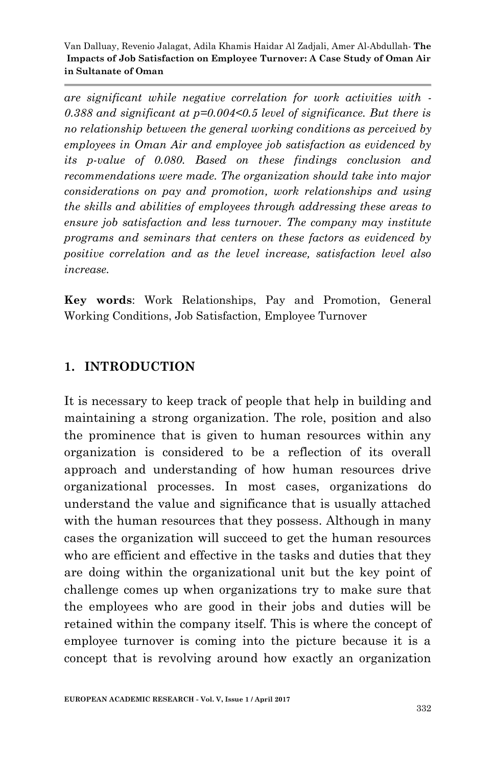*are significant while negative correlation for work activities with - 0.388 and significant at p=0.004<0.5 level of significance. But there is no relationship between the general working conditions as perceived by employees in Oman Air and employee job satisfaction as evidenced by its p-value of 0.080. Based on these findings conclusion and recommendations were made. The organization should take into major considerations on pay and promotion, work relationships and using the skills and abilities of employees through addressing these areas to ensure job satisfaction and less turnover. The company may institute programs and seminars that centers on these factors as evidenced by positive correlation and as the level increase, satisfaction level also increase.*

**Key words**: Work Relationships, Pay and Promotion, General Working Conditions, Job Satisfaction, Employee Turnover

#### **1. INTRODUCTION**

It is necessary to keep track of people that help in building and maintaining a strong organization. The role, position and also the prominence that is given to human resources within any organization is considered to be a reflection of its overall approach and understanding of how human resources drive organizational processes. In most cases, organizations do understand the value and significance that is usually attached with the human resources that they possess. Although in many cases the organization will succeed to get the human resources who are efficient and effective in the tasks and duties that they are doing within the organizational unit but the key point of challenge comes up when organizations try to make sure that the employees who are good in their jobs and duties will be retained within the company itself. This is where the concept of employee turnover is coming into the picture because it is a concept that is revolving around how exactly an organization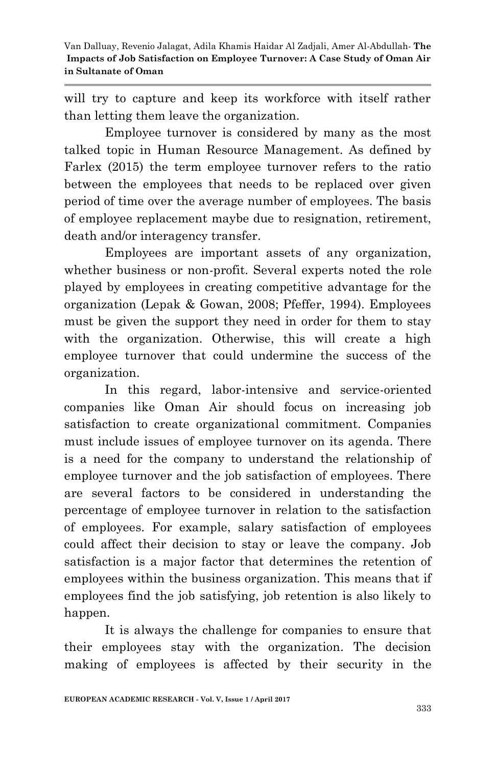will try to capture and keep its workforce with itself rather than letting them leave the organization.

Employee turnover is considered by many as the most talked topic in Human Resource Management. As defined by Farlex (2015) the term employee turnover refers to the ratio between the employees that needs to be replaced over given period of time over the average number of employees. The basis of employee replacement maybe due to resignation, retirement, death and/or interagency transfer.

Employees are important assets of any organization, whether business or non-profit. Several experts noted the role played by employees in creating competitive advantage for the organization (Lepak & Gowan, 2008; Pfeffer, 1994). Employees must be given the support they need in order for them to stay with the organization. Otherwise, this will create a high employee turnover that could undermine the success of the organization.

In this regard, labor-intensive and service-oriented companies like Oman Air should focus on increasing job satisfaction to create organizational commitment. Companies must include issues of employee turnover on its agenda. There is a need for the company to understand the relationship of employee turnover and the job satisfaction of employees. There are several factors to be considered in understanding the percentage of employee turnover in relation to the satisfaction of employees. For example, salary satisfaction of employees could affect their decision to stay or leave the company. Job satisfaction is a major factor that determines the retention of employees within the business organization. This means that if employees find the job satisfying, job retention is also likely to happen.

It is always the challenge for companies to ensure that their employees stay with the organization. The decision making of employees is affected by their security in the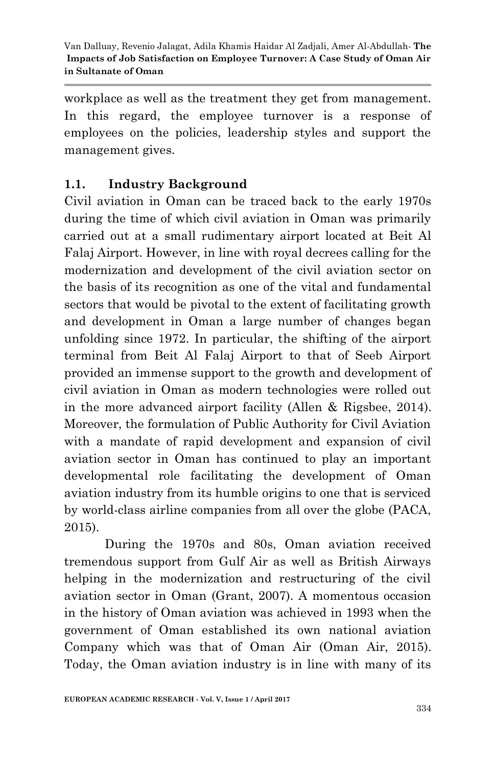workplace as well as the treatment they get from management. In this regard, the employee turnover is a response of employees on the policies, leadership styles and support the management gives.

# **1.1. Industry Background**

Civil aviation in Oman can be traced back to the early 1970s during the time of which civil aviation in Oman was primarily carried out at a small rudimentary airport located at Beit Al Falaj Airport. However, in line with royal decrees calling for the modernization and development of the civil aviation sector on the basis of its recognition as one of the vital and fundamental sectors that would be pivotal to the extent of facilitating growth and development in Oman a large number of changes began unfolding since 1972. In particular, the shifting of the airport terminal from Beit Al Falaj Airport to that of Seeb Airport provided an immense support to the growth and development of civil aviation in Oman as modern technologies were rolled out in the more advanced airport facility (Allen & Rigsbee, 2014). Moreover, the formulation of Public Authority for Civil Aviation with a mandate of rapid development and expansion of civil aviation sector in Oman has continued to play an important developmental role facilitating the development of Oman aviation industry from its humble origins to one that is serviced by world-class airline companies from all over the globe (PACA, 2015).

During the 1970s and 80s, Oman aviation received tremendous support from Gulf Air as well as British Airways helping in the modernization and restructuring of the civil aviation sector in Oman (Grant, 2007). A momentous occasion in the history of Oman aviation was achieved in 1993 when the government of Oman established its own national aviation Company which was that of Oman Air (Oman Air, 2015). Today, the Oman aviation industry is in line with many of its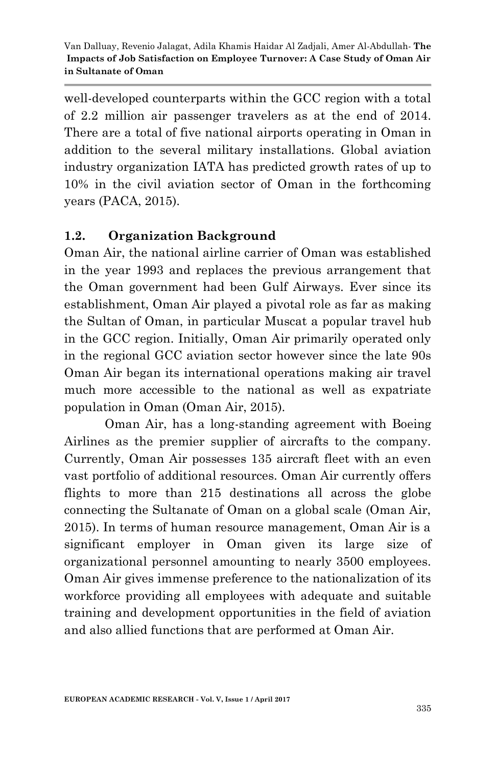well-developed counterparts within the GCC region with a total of 2.2 million air passenger travelers as at the end of 2014. There are a total of five national airports operating in Oman in addition to the several military installations. Global aviation industry organization IATA has predicted growth rates of up to 10% in the civil aviation sector of Oman in the forthcoming years (PACA, 2015).

# **1.2. Organization Background**

Oman Air, the national airline carrier of Oman was established in the year 1993 and replaces the previous arrangement that the Oman government had been Gulf Airways. Ever since its establishment, Oman Air played a pivotal role as far as making the Sultan of Oman, in particular Muscat a popular travel hub in the GCC region. Initially, Oman Air primarily operated only in the regional GCC aviation sector however since the late 90s Oman Air began its international operations making air travel much more accessible to the national as well as expatriate population in Oman (Oman Air, 2015).

Oman Air, has a long-standing agreement with Boeing Airlines as the premier supplier of aircrafts to the company. Currently, Oman Air possesses 135 aircraft fleet with an even vast portfolio of additional resources. Oman Air currently offers flights to more than 215 destinations all across the globe connecting the Sultanate of Oman on a global scale (Oman Air, 2015). In terms of human resource management, Oman Air is a significant employer in Oman given its large size of organizational personnel amounting to nearly 3500 employees. Oman Air gives immense preference to the nationalization of its workforce providing all employees with adequate and suitable training and development opportunities in the field of aviation and also allied functions that are performed at Oman Air.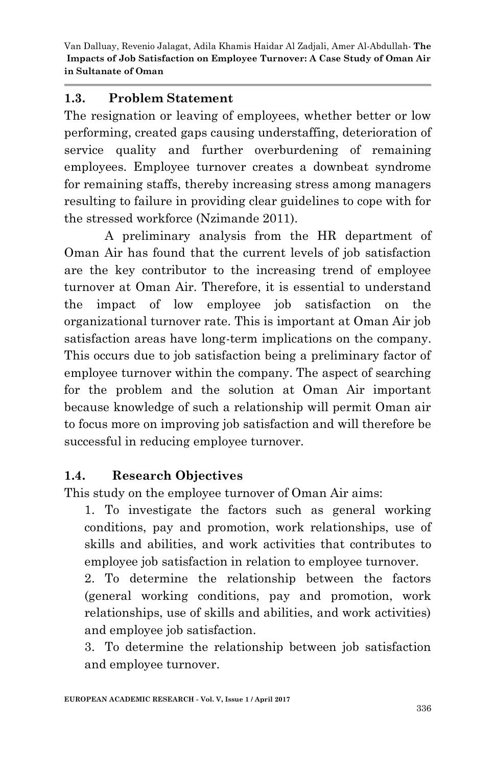#### **1.3. Problem Statement**

The resignation or leaving of employees, whether better or low performing, created gaps causing understaffing, deterioration of service quality and further overburdening of remaining employees. Employee turnover creates a downbeat syndrome for remaining staffs, thereby increasing stress among managers resulting to failure in providing clear guidelines to cope with for the stressed workforce (Nzimande 2011).

A preliminary analysis from the HR department of Oman Air has found that the current levels of job satisfaction are the key contributor to the increasing trend of employee turnover at Oman Air. Therefore, it is essential to understand the impact of low employee job satisfaction on the organizational turnover rate. This is important at Oman Air job satisfaction areas have long-term implications on the company. This occurs due to job satisfaction being a preliminary factor of employee turnover within the company. The aspect of searching for the problem and the solution at Oman Air important because knowledge of such a relationship will permit Oman air to focus more on improving job satisfaction and will therefore be successful in reducing employee turnover.

# **1.4. Research Objectives**

This study on the employee turnover of Oman Air aims:

1. To investigate the factors such as general working conditions, pay and promotion, work relationships, use of skills and abilities, and work activities that contributes to employee job satisfaction in relation to employee turnover.

2. To determine the relationship between the factors (general working conditions, pay and promotion, work relationships, use of skills and abilities, and work activities) and employee job satisfaction.

3. To determine the relationship between job satisfaction and employee turnover.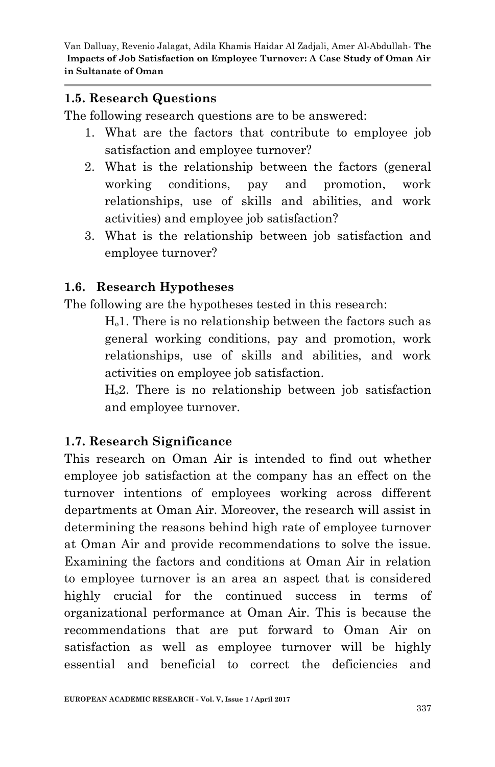#### **1.5. Research Questions**

The following research questions are to be answered:

- 1. What are the factors that contribute to employee job satisfaction and employee turnover?
- 2. What is the relationship between the factors (general working conditions, pay and promotion, work relationships, use of skills and abilities, and work activities) and employee job satisfaction?
- 3. What is the relationship between job satisfaction and employee turnover?

# **1.6. Research Hypotheses**

The following are the hypotheses tested in this research:

 $H<sub>o</sub>1$ . There is no relationship between the factors such as general working conditions, pay and promotion, work relationships, use of skills and abilities, and work activities on employee job satisfaction.

 $H<sub>0</sub>2$ . There is no relationship between job satisfaction and employee turnover.

# **1.7. Research Significance**

This research on Oman Air is intended to find out whether employee job satisfaction at the company has an effect on the turnover intentions of employees working across different departments at Oman Air. Moreover, the research will assist in determining the reasons behind high rate of employee turnover at Oman Air and provide recommendations to solve the issue. Examining the factors and conditions at Oman Air in relation to employee turnover is an area an aspect that is considered highly crucial for the continued success in terms of organizational performance at Oman Air. This is because the recommendations that are put forward to Oman Air on satisfaction as well as employee turnover will be highly essential and beneficial to correct the deficiencies and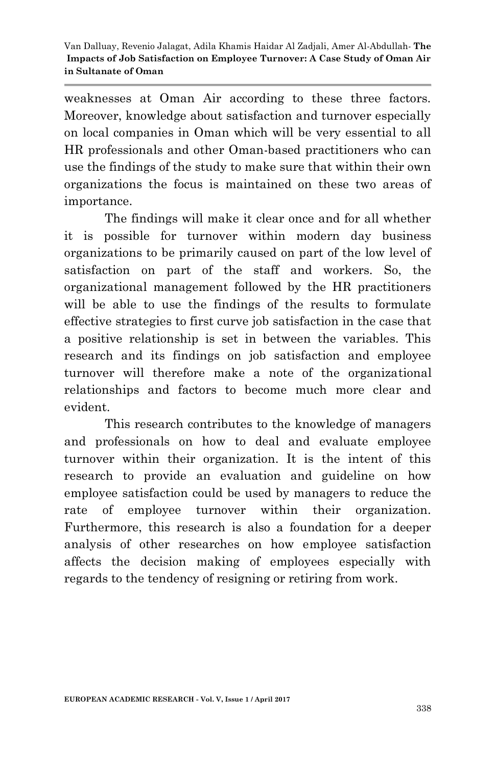weaknesses at Oman Air according to these three factors. Moreover, knowledge about satisfaction and turnover especially on local companies in Oman which will be very essential to all HR professionals and other Oman-based practitioners who can use the findings of the study to make sure that within their own organizations the focus is maintained on these two areas of importance.

The findings will make it clear once and for all whether it is possible for turnover within modern day business organizations to be primarily caused on part of the low level of satisfaction on part of the staff and workers. So, the organizational management followed by the HR practitioners will be able to use the findings of the results to formulate effective strategies to first curve job satisfaction in the case that a positive relationship is set in between the variables. This research and its findings on job satisfaction and employee turnover will therefore make a note of the organizational relationships and factors to become much more clear and evident.

This research contributes to the knowledge of managers and professionals on how to deal and evaluate employee turnover within their organization. It is the intent of this research to provide an evaluation and guideline on how employee satisfaction could be used by managers to reduce the rate of employee turnover within their organization. Furthermore, this research is also a foundation for a deeper analysis of other researches on how employee satisfaction affects the decision making of employees especially with regards to the tendency of resigning or retiring from work.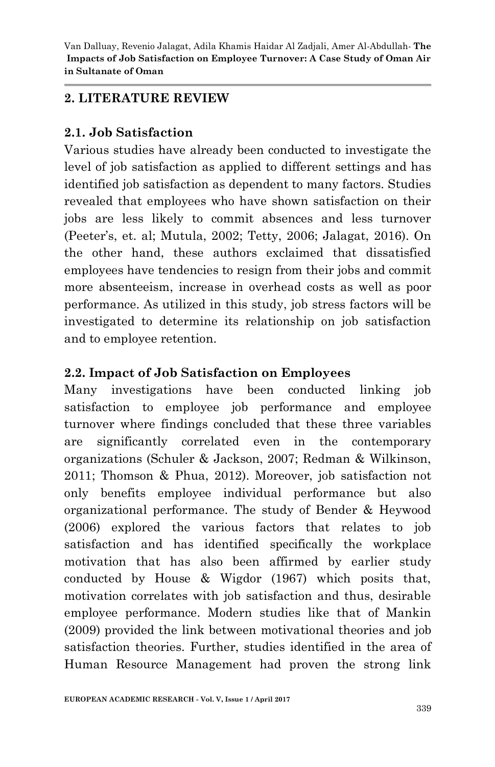#### **2. LITERATURE REVIEW**

#### **2.1. Job Satisfaction**

Various studies have already been conducted to investigate the level of job satisfaction as applied to different settings and has identified job satisfaction as dependent to many factors. Studies revealed that employees who have shown satisfaction on their jobs are less likely to commit absences and less turnover (Peeter"s, et. al; Mutula, 2002; Tetty, 2006; Jalagat, 2016). On the other hand, these authors exclaimed that dissatisfied employees have tendencies to resign from their jobs and commit more absenteeism, increase in overhead costs as well as poor performance. As utilized in this study, job stress factors will be investigated to determine its relationship on job satisfaction and to employee retention.

#### **2.2. Impact of Job Satisfaction on Employees**

Many investigations have been conducted linking job satisfaction to employee job performance and employee turnover where findings concluded that these three variables are significantly correlated even in the contemporary organizations (Schuler & Jackson, 2007; Redman & Wilkinson, 2011; Thomson & Phua, 2012). Moreover, job satisfaction not only benefits employee individual performance but also organizational performance. The study of Bender & Heywood (2006) explored the various factors that relates to job satisfaction and has identified specifically the workplace motivation that has also been affirmed by earlier study conducted by House & Wigdor (1967) which posits that, motivation correlates with job satisfaction and thus, desirable employee performance. Modern studies like that of Mankin (2009) provided the link between motivational theories and job satisfaction theories. Further, studies identified in the area of Human Resource Management had proven the strong link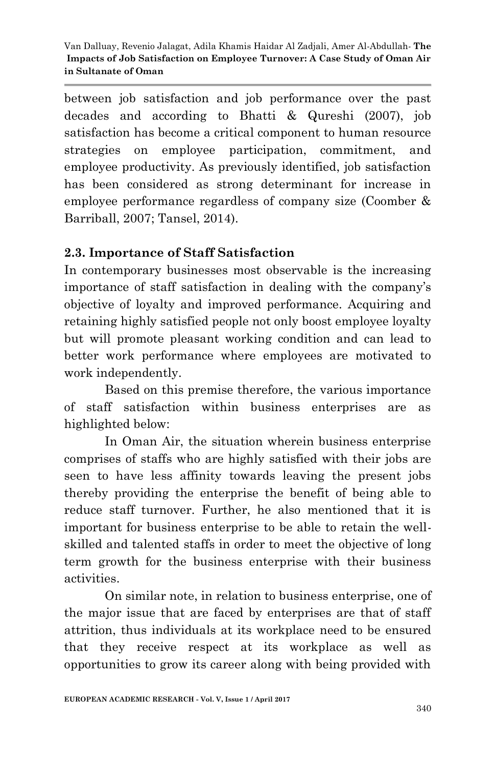between job satisfaction and job performance over the past decades and according to Bhatti & Qureshi (2007), job satisfaction has become a critical component to human resource strategies on employee participation, commitment, and employee productivity. As previously identified, job satisfaction has been considered as strong determinant for increase in employee performance regardless of company size (Coomber & Barriball, 2007; Tansel, 2014).

# **2.3. Importance of Staff Satisfaction**

In contemporary businesses most observable is the increasing importance of staff satisfaction in dealing with the company"s objective of loyalty and improved performance. Acquiring and retaining highly satisfied people not only boost employee loyalty but will promote pleasant working condition and can lead to better work performance where employees are motivated to work independently.

Based on this premise therefore, the various importance of staff satisfaction within business enterprises are as highlighted below:

In Oman Air, the situation wherein business enterprise comprises of staffs who are highly satisfied with their jobs are seen to have less affinity towards leaving the present jobs thereby providing the enterprise the benefit of being able to reduce staff turnover. Further, he also mentioned that it is important for business enterprise to be able to retain the wellskilled and talented staffs in order to meet the objective of long term growth for the business enterprise with their business activities.

On similar note, in relation to business enterprise, one of the major issue that are faced by enterprises are that of staff attrition, thus individuals at its workplace need to be ensured that they receive respect at its workplace as well as opportunities to grow its career along with being provided with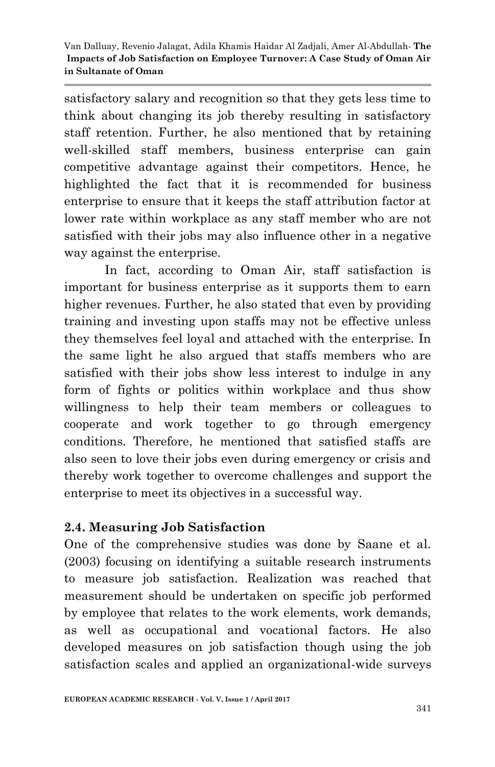satisfactory salary and recognition so that they gets less time to think about changing its job thereby resulting in satisfactory staff retention. Further, he also mentioned that by retaining well-skilled staff members, business enterprise can gain competitive advantage against their competitors. Hence, he highlighted the fact that it is recommended for business enterprise to ensure that it keeps the staff attribution factor at lower rate within workplace as any staff member who are not satisfied with their jobs may also influence other in a negative way against the enterprise.

In fact, according to Oman Air, staff satisfaction is important for business enterprise as it supports them to earn higher revenues. Further, he also stated that even by providing training and investing upon staffs may not be effective unless they themselves feel loyal and attached with the enterprise. In the same light he also argued that staffs members who are satisfied with their jobs show less interest to indulge in any form of fights or politics within workplace and thus show willingness to help their team members or colleagues to cooperate and work together to go through emergency conditions. Therefore, he mentioned that satisfied staffs are also seen to love their jobs even during emergency or crisis and thereby work together to overcome challenges and support the enterprise to meet its objectives in a successful way.

# **2.4. Measuring Job Satisfaction**

One of the comprehensive studies was done by Saane et al. (2003) focusing on identifying a suitable research instruments to measure job satisfaction. Realization was reached that measurement should be undertaken on specific job performed by employee that relates to the work elements, work demands, as well as occupational and vocational factors. He also developed measures on job satisfaction though using the job satisfaction scales and applied an organizational-wide surveys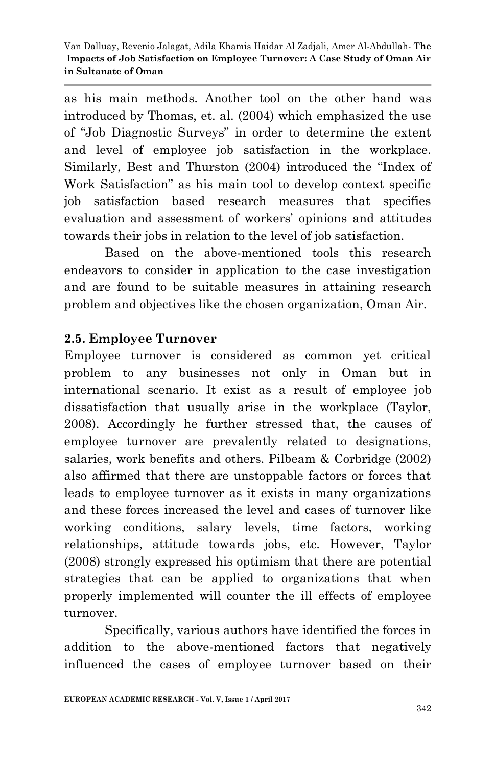as his main methods. Another tool on the other hand was introduced by Thomas, et. al. (2004) which emphasized the use of "Job Diagnostic Surveys" in order to determine the extent and level of employee job satisfaction in the workplace. Similarly, Best and Thurston (2004) introduced the "Index of Work Satisfaction" as his main tool to develop context specific job satisfaction based research measures that specifies evaluation and assessment of workers' opinions and attitudes towards their jobs in relation to the level of job satisfaction.

Based on the above-mentioned tools this research endeavors to consider in application to the case investigation and are found to be suitable measures in attaining research problem and objectives like the chosen organization, Oman Air.

# **2.5. Employee Turnover**

Employee turnover is considered as common yet critical problem to any businesses not only in Oman but in international scenario. It exist as a result of employee job dissatisfaction that usually arise in the workplace (Taylor, 2008). Accordingly he further stressed that, the causes of employee turnover are prevalently related to designations, salaries, work benefits and others. Pilbeam & Corbridge (2002) also affirmed that there are unstoppable factors or forces that leads to employee turnover as it exists in many organizations and these forces increased the level and cases of turnover like working conditions, salary levels, time factors, working relationships, attitude towards jobs, etc. However, Taylor (2008) strongly expressed his optimism that there are potential strategies that can be applied to organizations that when properly implemented will counter the ill effects of employee turnover.

Specifically, various authors have identified the forces in addition to the above-mentioned factors that negatively influenced the cases of employee turnover based on their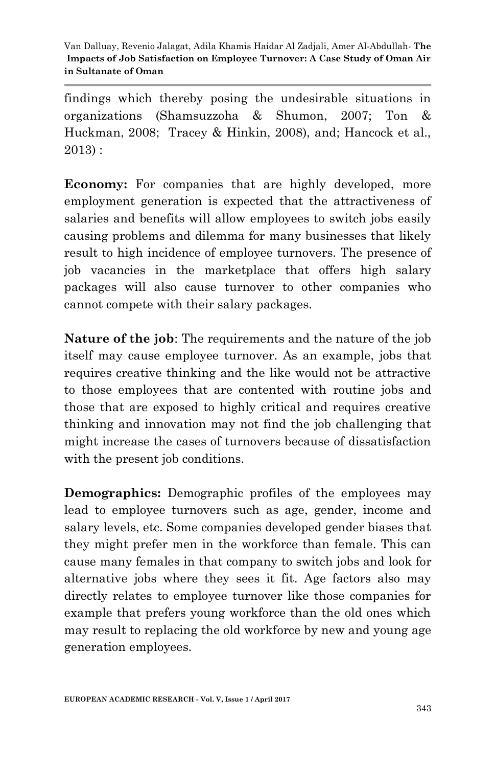findings which thereby posing the undesirable situations in organizations (Shamsuzzoha & Shumon, 2007; Ton & Huckman, 2008; Tracey & Hinkin, 2008), and; Hancock et al., 2013) :

**Economy:** For companies that are highly developed, more employment generation is expected that the attractiveness of salaries and benefits will allow employees to switch jobs easily causing problems and dilemma for many businesses that likely result to high incidence of employee turnovers. The presence of job vacancies in the marketplace that offers high salary packages will also cause turnover to other companies who cannot compete with their salary packages.

**Nature of the job**: The requirements and the nature of the job itself may cause employee turnover. As an example, jobs that requires creative thinking and the like would not be attractive to those employees that are contented with routine jobs and those that are exposed to highly critical and requires creative thinking and innovation may not find the job challenging that might increase the cases of turnovers because of dissatisfaction with the present job conditions.

**Demographics:** Demographic profiles of the employees may lead to employee turnovers such as age, gender, income and salary levels, etc. Some companies developed gender biases that they might prefer men in the workforce than female. This can cause many females in that company to switch jobs and look for alternative jobs where they sees it fit. Age factors also may directly relates to employee turnover like those companies for example that prefers young workforce than the old ones which may result to replacing the old workforce by new and young age generation employees.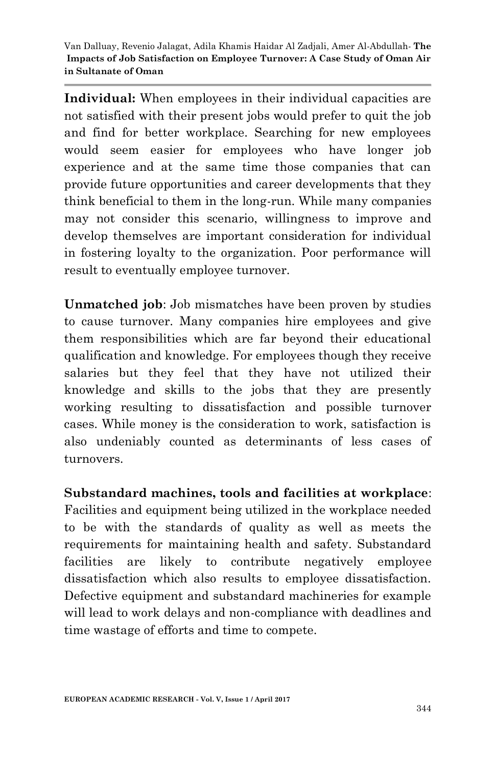**Individual:** When employees in their individual capacities are not satisfied with their present jobs would prefer to quit the job and find for better workplace. Searching for new employees would seem easier for employees who have longer job experience and at the same time those companies that can provide future opportunities and career developments that they think beneficial to them in the long-run. While many companies may not consider this scenario, willingness to improve and develop themselves are important consideration for individual in fostering loyalty to the organization. Poor performance will result to eventually employee turnover.

**Unmatched job**: Job mismatches have been proven by studies to cause turnover. Many companies hire employees and give them responsibilities which are far beyond their educational qualification and knowledge. For employees though they receive salaries but they feel that they have not utilized their knowledge and skills to the jobs that they are presently working resulting to dissatisfaction and possible turnover cases. While money is the consideration to work, satisfaction is also undeniably counted as determinants of less cases of turnovers.

**Substandard machines, tools and facilities at workplace**: Facilities and equipment being utilized in the workplace needed to be with the standards of quality as well as meets the requirements for maintaining health and safety. Substandard facilities are likely to contribute negatively employee dissatisfaction which also results to employee dissatisfaction. Defective equipment and substandard machineries for example will lead to work delays and non-compliance with deadlines and time wastage of efforts and time to compete.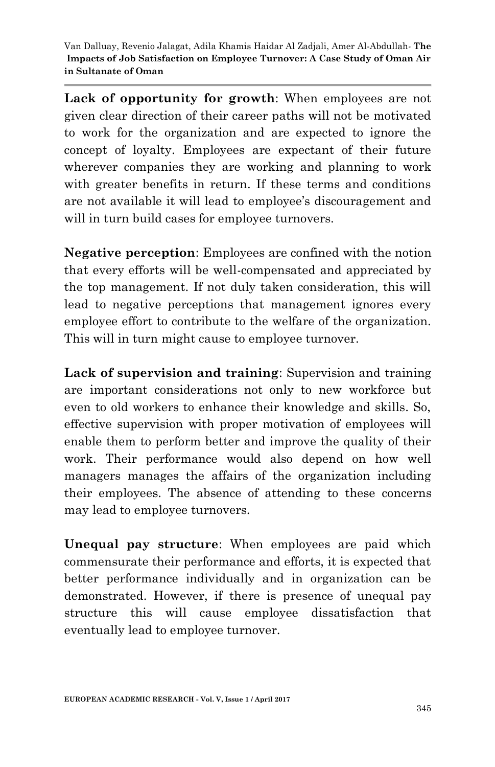Lack of opportunity for growth: When employees are not given clear direction of their career paths will not be motivated to work for the organization and are expected to ignore the concept of loyalty. Employees are expectant of their future wherever companies they are working and planning to work with greater benefits in return. If these terms and conditions are not available it will lead to employee's discouragement and will in turn build cases for employee turnovers.

**Negative perception**: Employees are confined with the notion that every efforts will be well-compensated and appreciated by the top management. If not duly taken consideration, this will lead to negative perceptions that management ignores every employee effort to contribute to the welfare of the organization. This will in turn might cause to employee turnover.

**Lack of supervision and training**: Supervision and training are important considerations not only to new workforce but even to old workers to enhance their knowledge and skills. So, effective supervision with proper motivation of employees will enable them to perform better and improve the quality of their work. Their performance would also depend on how well managers manages the affairs of the organization including their employees. The absence of attending to these concerns may lead to employee turnovers.

**Unequal pay structure**: When employees are paid which commensurate their performance and efforts, it is expected that better performance individually and in organization can be demonstrated. However, if there is presence of unequal pay structure this will cause employee dissatisfaction that eventually lead to employee turnover.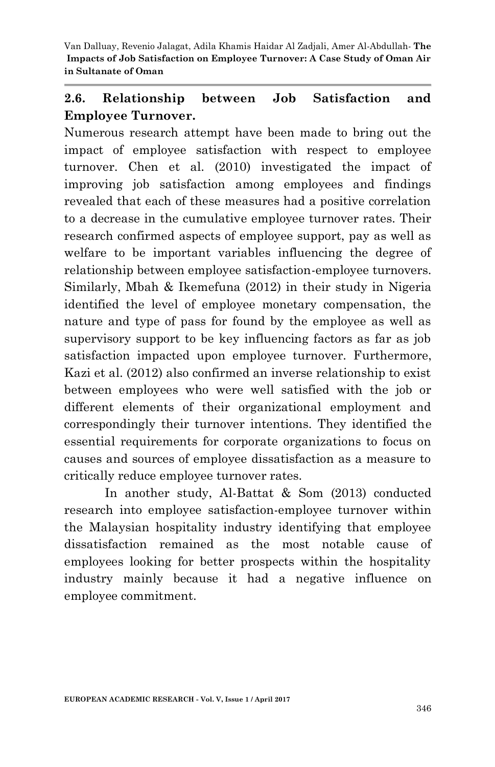# **2.6. Relationship between Job Satisfaction and Employee Turnover.**

Numerous research attempt have been made to bring out the impact of employee satisfaction with respect to employee turnover. Chen et al. (2010) investigated the impact of improving job satisfaction among employees and findings revealed that each of these measures had a positive correlation to a decrease in the cumulative employee turnover rates. Their research confirmed aspects of employee support, pay as well as welfare to be important variables influencing the degree of relationship between employee satisfaction-employee turnovers. Similarly, Mbah & Ikemefuna (2012) in their study in Nigeria identified the level of employee monetary compensation, the nature and type of pass for found by the employee as well as supervisory support to be key influencing factors as far as job satisfaction impacted upon employee turnover. Furthermore, Kazi et al. (2012) also confirmed an inverse relationship to exist between employees who were well satisfied with the job or different elements of their organizational employment and correspondingly their turnover intentions. They identified the essential requirements for corporate organizations to focus on causes and sources of employee dissatisfaction as a measure to critically reduce employee turnover rates.

In another study, Al-Battat & Som (2013) conducted research into employee satisfaction-employee turnover within the Malaysian hospitality industry identifying that employee dissatisfaction remained as the most notable cause of employees looking for better prospects within the hospitality industry mainly because it had a negative influence on employee commitment.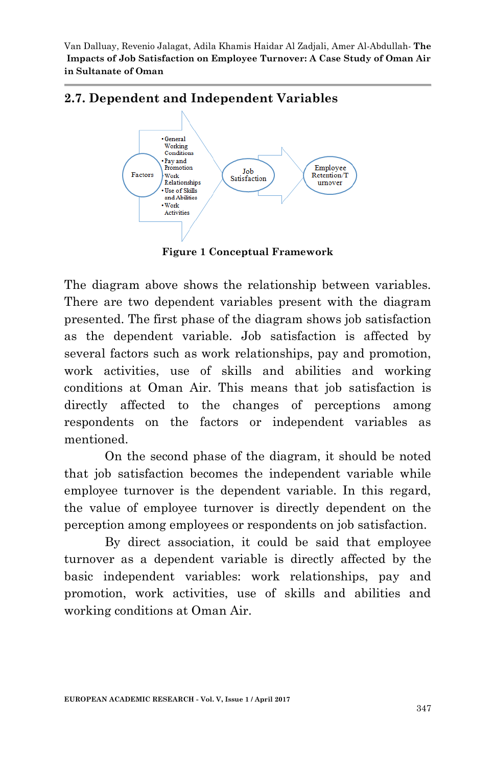

# **2.7. Dependent and Independent Variables**

**Figure 1 Conceptual Framework**

The diagram above shows the relationship between variables. There are two dependent variables present with the diagram presented. The first phase of the diagram shows job satisfaction as the dependent variable. Job satisfaction is affected by several factors such as work relationships, pay and promotion, work activities, use of skills and abilities and working conditions at Oman Air. This means that job satisfaction is directly affected to the changes of perceptions among respondents on the factors or independent variables as mentioned.

On the second phase of the diagram, it should be noted that job satisfaction becomes the independent variable while employee turnover is the dependent variable. In this regard, the value of employee turnover is directly dependent on the perception among employees or respondents on job satisfaction.

By direct association, it could be said that employee turnover as a dependent variable is directly affected by the basic independent variables: work relationships, pay and promotion, work activities, use of skills and abilities and working conditions at Oman Air.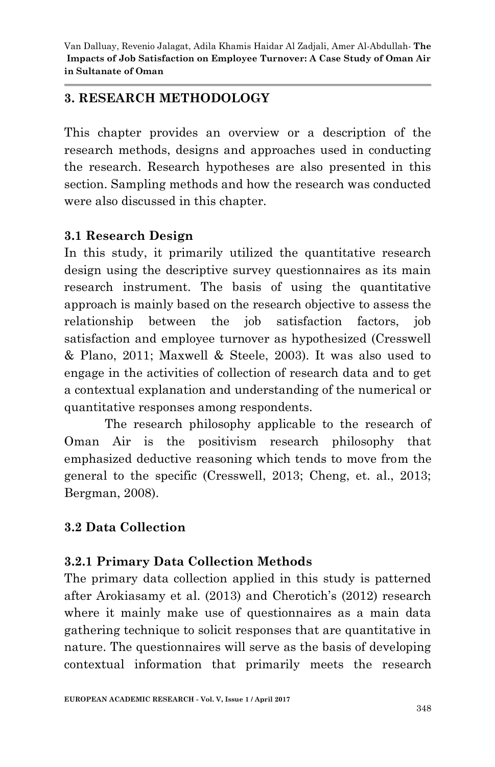#### **3. RESEARCH METHODOLOGY**

This chapter provides an overview or a description of the research methods, designs and approaches used in conducting the research. Research hypotheses are also presented in this section. Sampling methods and how the research was conducted were also discussed in this chapter.

#### **3.1 Research Design**

In this study, it primarily utilized the quantitative research design using the descriptive survey questionnaires as its main research instrument. The basis of using the quantitative approach is mainly based on the research objective to assess the relationship between the job satisfaction factors, job satisfaction and employee turnover as hypothesized (Cresswell & Plano, 2011; Maxwell & Steele, 2003). It was also used to engage in the activities of collection of research data and to get a contextual explanation and understanding of the numerical or quantitative responses among respondents.

The research philosophy applicable to the research of Oman Air is the positivism research philosophy that emphasized deductive reasoning which tends to move from the general to the specific (Cresswell, 2013; Cheng, et. al., 2013; Bergman, 2008).

# **3.2 Data Collection**

# **3.2.1 Primary Data Collection Methods**

The primary data collection applied in this study is patterned after Arokiasamy et al. (2013) and Cherotich's (2012) research where it mainly make use of questionnaires as a main data gathering technique to solicit responses that are quantitative in nature. The questionnaires will serve as the basis of developing contextual information that primarily meets the research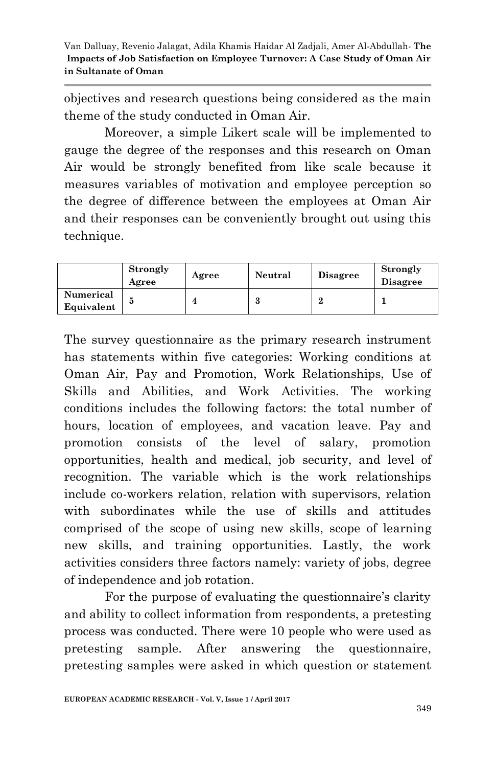objectives and research questions being considered as the main theme of the study conducted in Oman Air.

Moreover, a simple Likert scale will be implemented to gauge the degree of the responses and this research on Oman Air would be strongly benefited from like scale because it measures variables of motivation and employee perception so the degree of difference between the employees at Oman Air and their responses can be conveniently brought out using this technique.

|                         | <b>Strongly</b><br>Agree | Agree | Neutral | <b>Disagree</b> | Strongly<br><b>Disagree</b> |
|-------------------------|--------------------------|-------|---------|-----------------|-----------------------------|
| Numerical<br>Equivalent |                          |       |         |                 |                             |

The survey questionnaire as the primary research instrument has statements within five categories: Working conditions at Oman Air, Pay and Promotion, Work Relationships, Use of Skills and Abilities, and Work Activities. The working conditions includes the following factors: the total number of hours, location of employees, and vacation leave. Pay and promotion consists of the level of salary, promotion opportunities, health and medical, job security, and level of recognition. The variable which is the work relationships include co-workers relation, relation with supervisors, relation with subordinates while the use of skills and attitudes comprised of the scope of using new skills, scope of learning new skills, and training opportunities. Lastly, the work activities considers three factors namely: variety of jobs, degree of independence and job rotation.

For the purpose of evaluating the questionnaire's clarity and ability to collect information from respondents, a pretesting process was conducted. There were 10 people who were used as pretesting sample. After answering the questionnaire, pretesting samples were asked in which question or statement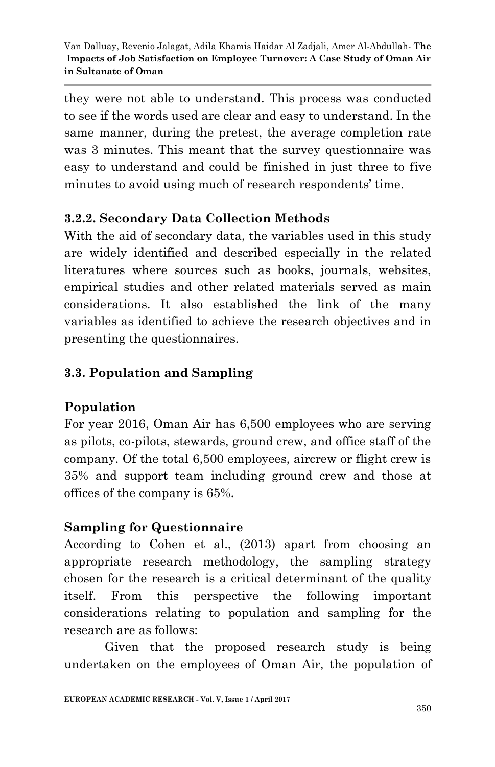they were not able to understand. This process was conducted to see if the words used are clear and easy to understand. In the same manner, during the pretest, the average completion rate was 3 minutes. This meant that the survey questionnaire was easy to understand and could be finished in just three to five minutes to avoid using much of research respondents' time.

# **3.2.2. Secondary Data Collection Methods**

With the aid of secondary data, the variables used in this study are widely identified and described especially in the related literatures where sources such as books, journals, websites, empirical studies and other related materials served as main considerations. It also established the link of the many variables as identified to achieve the research objectives and in presenting the questionnaires.

# **3.3. Population and Sampling**

# **Population**

For year 2016, Oman Air has 6,500 employees who are serving as pilots, co-pilots, stewards, ground crew, and office staff of the company. Of the total 6,500 employees, aircrew or flight crew is 35% and support team including ground crew and those at offices of the company is 65%.

# **Sampling for Questionnaire**

According to Cohen et al., (2013) apart from choosing an appropriate research methodology, the sampling strategy chosen for the research is a critical determinant of the quality itself. From this perspective the following important considerations relating to population and sampling for the research are as follows:

Given that the proposed research study is being undertaken on the employees of Oman Air, the population of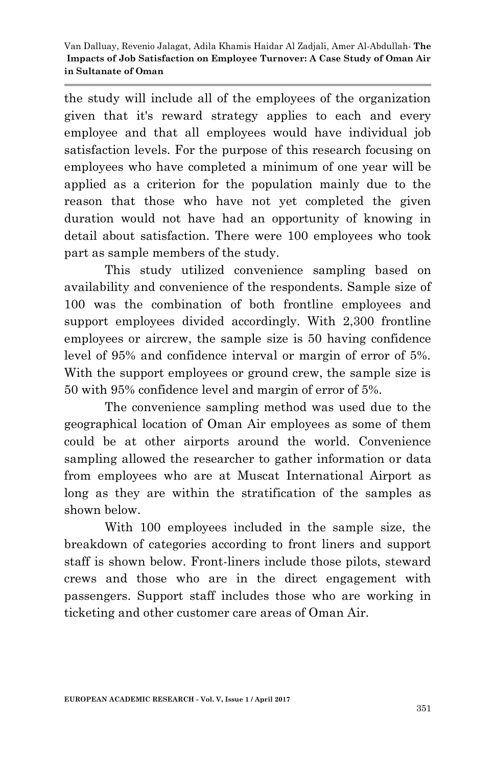the study will include all of the employees of the organization given that it's reward strategy applies to each and every employee and that all employees would have individual job satisfaction levels. For the purpose of this research focusing on employees who have completed a minimum of one year will be applied as a criterion for the population mainly due to the reason that those who have not yet completed the given duration would not have had an opportunity of knowing in detail about satisfaction. There were 100 employees who took part as sample members of the study.

This study utilized convenience sampling based on availability and convenience of the respondents. Sample size of 100 was the combination of both frontline employees and support employees divided accordingly. With 2,300 frontline employees or aircrew, the sample size is 50 having confidence level of 95% and confidence interval or margin of error of 5%. With the support employees or ground crew, the sample size is 50 with 95% confidence level and margin of error of 5%.

The convenience sampling method was used due to the geographical location of Oman Air employees as some of them could be at other airports around the world. Convenience sampling allowed the researcher to gather information or data from employees who are at Muscat International Airport as long as they are within the stratification of the samples as shown below.

With 100 employees included in the sample size, the breakdown of categories according to front liners and support staff is shown below. Front-liners include those pilots, steward crews and those who are in the direct engagement with passengers. Support staff includes those who are working in ticketing and other customer care areas of Oman Air.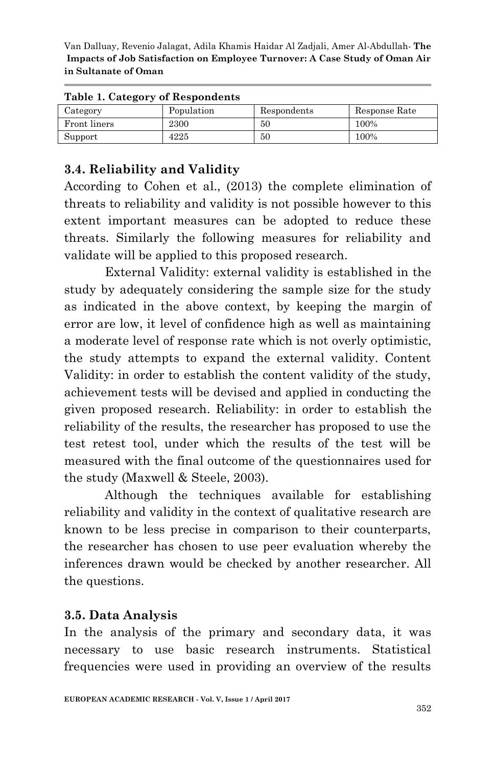| rable 1. Category of Respondents |            |             |               |  |  |  |
|----------------------------------|------------|-------------|---------------|--|--|--|
| Category                         | Population | Respondents | Response Rate |  |  |  |
| Front liners                     | 2300       | 50          | 100%          |  |  |  |
| Support                          | 4225       | 50          | 100%          |  |  |  |

#### **Table 1. Category of Respondents**

#### **3.4. Reliability and Validity**

According to Cohen et al., (2013) the complete elimination of threats to reliability and validity is not possible however to this extent important measures can be adopted to reduce these threats. Similarly the following measures for reliability and validate will be applied to this proposed research.

External Validity: external validity is established in the study by adequately considering the sample size for the study as indicated in the above context, by keeping the margin of error are low, it level of confidence high as well as maintaining a moderate level of response rate which is not overly optimistic, the study attempts to expand the external validity. Content Validity: in order to establish the content validity of the study, achievement tests will be devised and applied in conducting the given proposed research. Reliability: in order to establish the reliability of the results, the researcher has proposed to use the test retest tool, under which the results of the test will be measured with the final outcome of the questionnaires used for the study (Maxwell & Steele, 2003).

Although the techniques available for establishing reliability and validity in the context of qualitative research are known to be less precise in comparison to their counterparts, the researcher has chosen to use peer evaluation whereby the inferences drawn would be checked by another researcher. All the questions.

#### **3.5. Data Analysis**

In the analysis of the primary and secondary data, it was necessary to use basic research instruments. Statistical frequencies were used in providing an overview of the results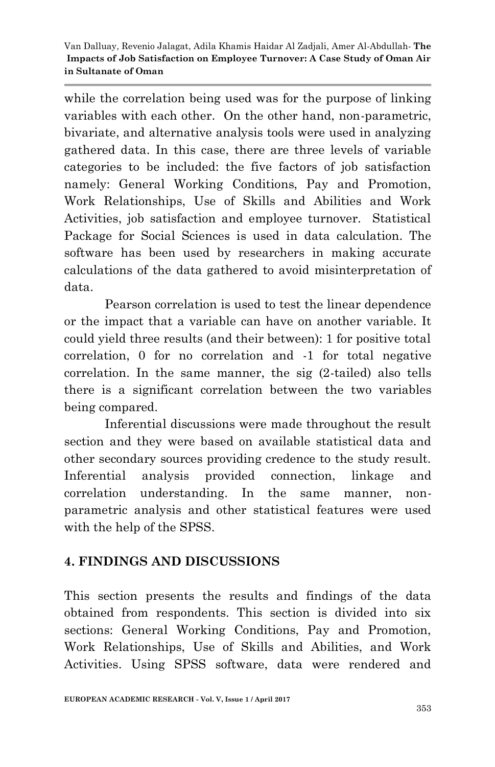while the correlation being used was for the purpose of linking variables with each other. On the other hand, non-parametric, bivariate, and alternative analysis tools were used in analyzing gathered data. In this case, there are three levels of variable categories to be included: the five factors of job satisfaction namely: General Working Conditions, Pay and Promotion, Work Relationships, Use of Skills and Abilities and Work Activities, job satisfaction and employee turnover. Statistical Package for Social Sciences is used in data calculation. The software has been used by researchers in making accurate calculations of the data gathered to avoid misinterpretation of data.

Pearson correlation is used to test the linear dependence or the impact that a variable can have on another variable. It could yield three results (and their between): 1 for positive total correlation, 0 for no correlation and -1 for total negative correlation. In the same manner, the sig (2-tailed) also tells there is a significant correlation between the two variables being compared.

Inferential discussions were made throughout the result section and they were based on available statistical data and other secondary sources providing credence to the study result. Inferential analysis provided connection, linkage and correlation understanding. In the same manner, nonparametric analysis and other statistical features were used with the help of the SPSS.

# **4. FINDINGS AND DISCUSSIONS**

This section presents the results and findings of the data obtained from respondents. This section is divided into six sections: General Working Conditions, Pay and Promotion, Work Relationships, Use of Skills and Abilities, and Work Activities. Using SPSS software, data were rendered and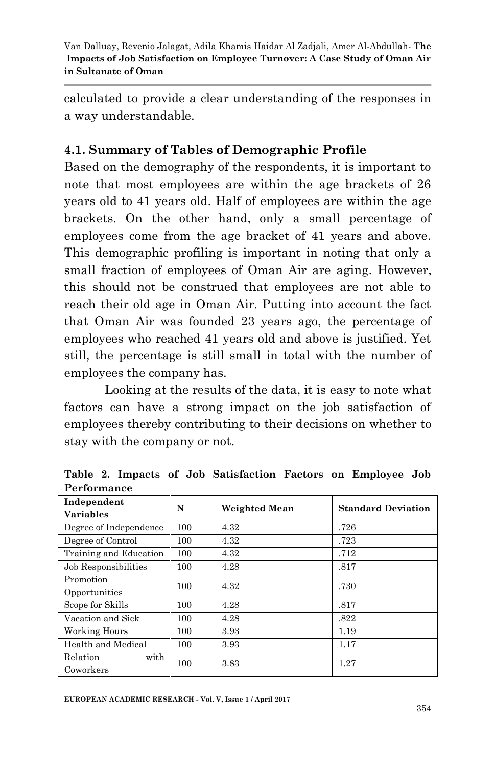calculated to provide a clear understanding of the responses in a way understandable.

# **4.1. Summary of Tables of Demographic Profile**

Based on the demography of the respondents, it is important to note that most employees are within the age brackets of 26 years old to 41 years old. Half of employees are within the age brackets. On the other hand, only a small percentage of employees come from the age bracket of 41 years and above. This demographic profiling is important in noting that only a small fraction of employees of Oman Air are aging. However, this should not be construed that employees are not able to reach their old age in Oman Air. Putting into account the fact that Oman Air was founded 23 years ago, the percentage of employees who reached 41 years old and above is justified. Yet still, the percentage is still small in total with the number of employees the company has.

Looking at the results of the data, it is easy to note what factors can have a strong impact on the job satisfaction of employees thereby contributing to their decisions on whether to stay with the company or not.

| Independent            | N   | Weighted Mean | <b>Standard Deviation</b> |  |
|------------------------|-----|---------------|---------------------------|--|
| <b>Variables</b>       |     |               |                           |  |
| Degree of Independence | 100 | 4.32          | .726                      |  |
| Degree of Control      | 100 | 4.32          | .723                      |  |
| Training and Education | 100 | 4.32          | .712                      |  |
| Job Responsibilities   | 100 | 4.28          | .817                      |  |
| Promotion              | 100 | 4.32          | .730                      |  |
| Opportunities          |     |               |                           |  |
| Scope for Skills       | 100 | 4.28          | .817                      |  |
| Vacation and Sick      | 100 | 4.28          | .822                      |  |
| Working Hours          | 100 | 3.93          | 1.19                      |  |
| Health and Medical     | 100 | 3.93          | 1.17                      |  |
| Relation<br>with       | 100 | 3.83          | 1.27                      |  |
| Coworkers              |     |               |                           |  |

**Table 2. Impacts of Job Satisfaction Factors on Employee Job Performance**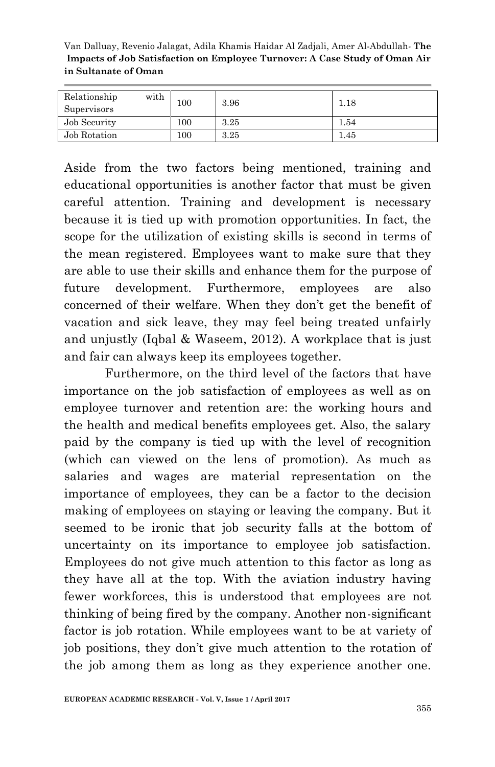| Relationship<br>with<br>Supervisors | 100 | 3.96 | 1.18 |
|-------------------------------------|-----|------|------|
| Job Security                        | 100 | 3.25 | 1.54 |
| Job Rotation                        | 100 | 3.25 | 1.45 |

Aside from the two factors being mentioned, training and educational opportunities is another factor that must be given careful attention. Training and development is necessary because it is tied up with promotion opportunities. In fact, the scope for the utilization of existing skills is second in terms of the mean registered. Employees want to make sure that they are able to use their skills and enhance them for the purpose of future development. Furthermore, employees are also concerned of their welfare. When they don"t get the benefit of vacation and sick leave, they may feel being treated unfairly and unjustly (Iqbal & Waseem, 2012). A workplace that is just and fair can always keep its employees together.

Furthermore, on the third level of the factors that have importance on the job satisfaction of employees as well as on employee turnover and retention are: the working hours and the health and medical benefits employees get. Also, the salary paid by the company is tied up with the level of recognition (which can viewed on the lens of promotion). As much as salaries and wages are material representation on the importance of employees, they can be a factor to the decision making of employees on staying or leaving the company. But it seemed to be ironic that job security falls at the bottom of uncertainty on its importance to employee job satisfaction. Employees do not give much attention to this factor as long as they have all at the top. With the aviation industry having fewer workforces, this is understood that employees are not thinking of being fired by the company. Another non-significant factor is job rotation. While employees want to be at variety of job positions, they don"t give much attention to the rotation of the job among them as long as they experience another one.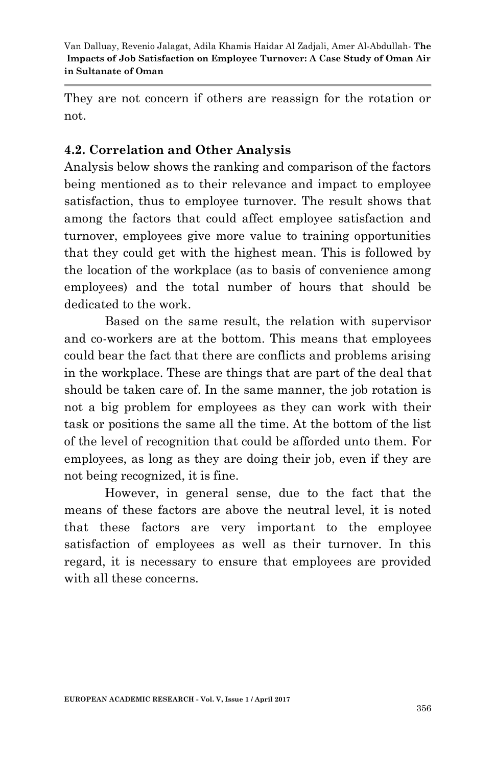They are not concern if others are reassign for the rotation or not.

#### **4.2. Correlation and Other Analysis**

Analysis below shows the ranking and comparison of the factors being mentioned as to their relevance and impact to employee satisfaction, thus to employee turnover. The result shows that among the factors that could affect employee satisfaction and turnover, employees give more value to training opportunities that they could get with the highest mean. This is followed by the location of the workplace (as to basis of convenience among employees) and the total number of hours that should be dedicated to the work.

Based on the same result, the relation with supervisor and co-workers are at the bottom. This means that employees could bear the fact that there are conflicts and problems arising in the workplace. These are things that are part of the deal that should be taken care of. In the same manner, the job rotation is not a big problem for employees as they can work with their task or positions the same all the time. At the bottom of the list of the level of recognition that could be afforded unto them. For employees, as long as they are doing their job, even if they are not being recognized, it is fine.

However, in general sense, due to the fact that the means of these factors are above the neutral level, it is noted that these factors are very important to the employee satisfaction of employees as well as their turnover. In this regard, it is necessary to ensure that employees are provided with all these concerns.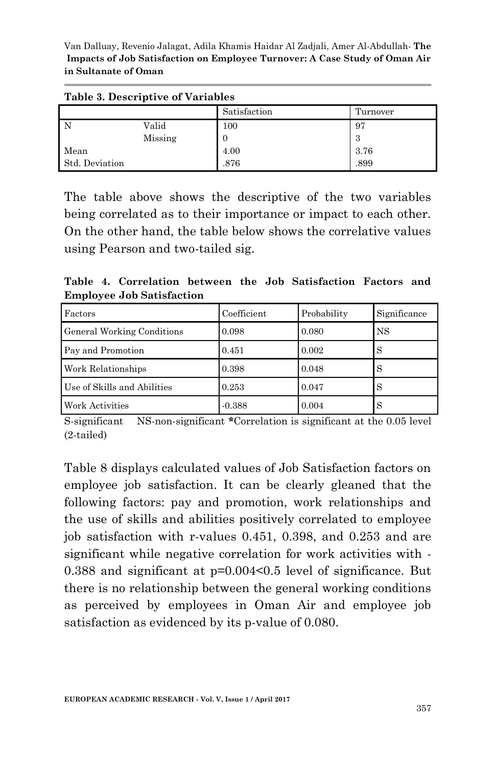Van Dalluay, Revenio Jalagat, Adila Khamis Haidar Al Zadjali, Amer Al-Abdullah*-* **The Impacts of Job Satisfaction on Employee Turnover: A Case Study of Oman Air in Sultanate of Oman**

| Table 3. Descriptive of Variables |         |              |          |  |  |
|-----------------------------------|---------|--------------|----------|--|--|
|                                   |         | Satisfaction | Turnover |  |  |
| - N                               | Valid   | 100          | 97       |  |  |
|                                   | Missing |              | 3        |  |  |
| Mean                              |         | 4.00         | 3.76     |  |  |
| Std. Deviation                    |         | .876         | .899     |  |  |

The table above shows the descriptive of the two variables being correlated as to their importance or impact to each other. On the other hand, the table below shows the correlative values using Pearson and two-tailed sig.

**Table 4. Correlation between the Job Satisfaction Factors and Employee Job Satisfaction**

| Factors                     | Coefficient | Probability | Significance |
|-----------------------------|-------------|-------------|--------------|
| General Working Conditions  | 0.098       | 0.080       | <b>NS</b>    |
| Pay and Promotion           | 0.451       | 0.002       | S            |
| Work Relationships          | 0.398       | 0.048       | S            |
| Use of Skills and Abilities | 0.253       | 0.047       | S            |
| Work Activities             | $-0.388$    | 0.004       | S            |

S-significant NS-non-significant **\***Correlation is significant at the 0.05 level (2-tailed)

Table 8 displays calculated values of Job Satisfaction factors on employee job satisfaction. It can be clearly gleaned that the following factors: pay and promotion, work relationships and the use of skills and abilities positively correlated to employee job satisfaction with r-values 0.451, 0.398, and 0.253 and are significant while negative correlation for work activities with - 0.388 and significant at p=0.004<0.5 level of significance. But there is no relationship between the general working conditions as perceived by employees in Oman Air and employee job satisfaction as evidenced by its p-value of 0.080.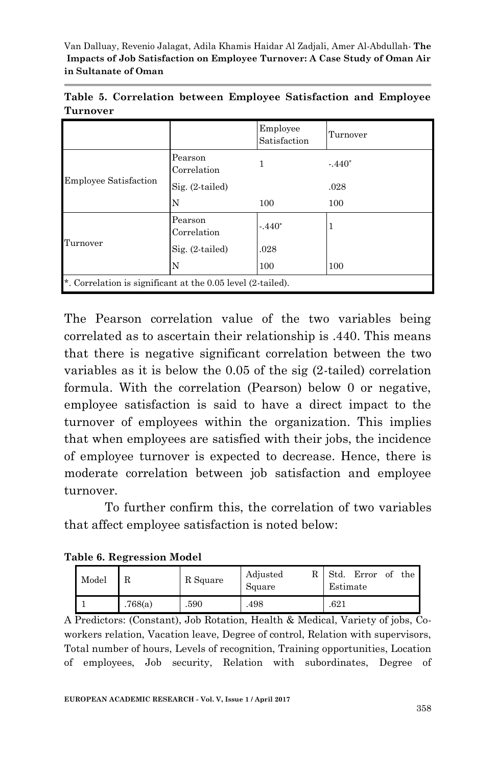|          |  |  | Table 5. Correlation between Employee Satisfaction and Employee |  |
|----------|--|--|-----------------------------------------------------------------|--|
| Turnover |  |  |                                                                 |  |

|                                                             |                        | Employee<br>Satisfaction | Turnover |
|-------------------------------------------------------------|------------------------|--------------------------|----------|
|                                                             | Pearson<br>Correlation | 1                        | $-440*$  |
| <b>Employee Satisfaction</b>                                | $Sig. (2-tailed)$      |                          | .028     |
|                                                             | N                      | 100                      | 100      |
|                                                             | Pearson<br>Correlation | $-440*$                  |          |
| Turnover                                                    | $Sig. (2-tailed)$      | .028                     |          |
|                                                             | N                      | 100                      | 100      |
| *. Correlation is significant at the 0.05 level (2-tailed). |                        |                          |          |

The Pearson correlation value of the two variables being correlated as to ascertain their relationship is .440. This means that there is negative significant correlation between the two variables as it is below the 0.05 of the sig (2-tailed) correlation formula. With the correlation (Pearson) below 0 or negative, employee satisfaction is said to have a direct impact to the turnover of employees within the organization. This implies that when employees are satisfied with their jobs, the incidence of employee turnover is expected to decrease. Hence, there is moderate correlation between job satisfaction and employee turnover.

To further confirm this, the correlation of two variables that affect employee satisfaction is noted below:

|  |  | Table 6. Regression Model |  |
|--|--|---------------------------|--|
|--|--|---------------------------|--|

| Model |         | R Square | Adjusted<br>R<br>Square | Std.<br>Error<br>of<br>the<br>Estimate |
|-------|---------|----------|-------------------------|----------------------------------------|
|       | .768(a) | .590     | .498                    | .621                                   |

A Predictors: (Constant), Job Rotation, Health & Medical, Variety of jobs, Coworkers relation, Vacation leave, Degree of control, Relation with supervisors, Total number of hours, Levels of recognition, Training opportunities, Location of employees, Job security, Relation with subordinates, Degree of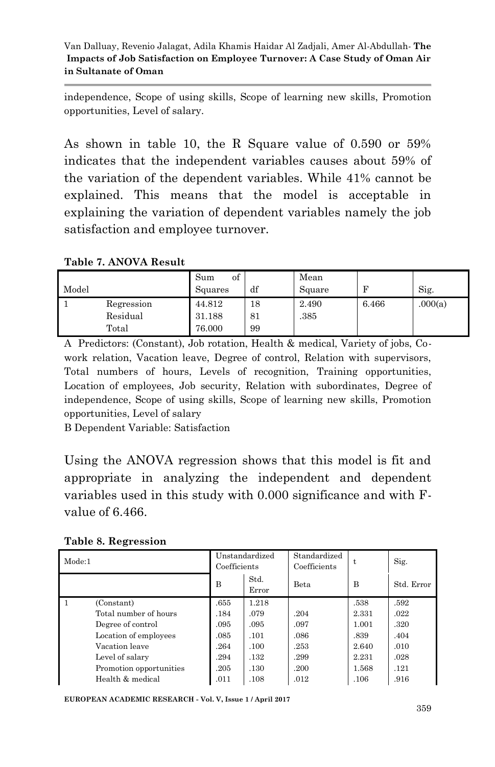independence, Scope of using skills, Scope of learning new skills, Promotion opportunities, Level of salary.

As shown in table 10, the R Square value of 0.590 or 59% indicates that the independent variables causes about 59% of the variation of the dependent variables. While 41% cannot be explained. This means that the model is acceptable in explaining the variation of dependent variables namely the job satisfaction and employee turnover.

#### **Table 7. ANOVA Result**

|       |            | Sum<br>οt |    | Mean   |       |         |
|-------|------------|-----------|----|--------|-------|---------|
| Model |            | Squares   | df | Square |       | Sig.    |
|       | Regression | 44.812    | 18 | 2.490  | 6.466 | .000(a) |
|       | Residual   | 31.188    | 81 | .385   |       |         |
|       | Total      | 76.000    | 99 |        |       |         |

A Predictors: (Constant), Job rotation, Health & medical, Variety of jobs, Cowork relation, Vacation leave, Degree of control, Relation with supervisors, Total numbers of hours, Levels of recognition, Training opportunities, Location of employees, Job security, Relation with subordinates, Degree of independence, Scope of using skills, Scope of learning new skills, Promotion opportunities, Level of salary

B Dependent Variable: Satisfaction

Using the ANOVA regression shows that this model is fit and appropriate in analyzing the independent and dependent variables used in this study with 0.000 significance and with Fvalue of 6.466.

**Table 8. Regression**

| Mode:1 |                         | Unstandardized<br>Coefficients |               | Standardized<br>Coefficients | t.    | Sig.       |
|--------|-------------------------|--------------------------------|---------------|------------------------------|-------|------------|
|        |                         | B                              | Std.<br>Error | Beta                         | B     | Std. Error |
|        | (Constant)              | .655                           | 1.218         |                              | .538  | .592       |
|        | Total number of hours   | .184                           | .079          | .204                         | 2.331 | .022       |
|        | Degree of control       | .095                           | .095          | .097                         | 1.001 | .320       |
|        | Location of employees   | .085                           | .101          | .086                         | .839  | .404       |
|        | Vacation leave          | .264                           | .100          | .253                         | 2.640 | .010       |
|        | Level of salary         | .294                           | .132          | .299                         | 2.231 | .028       |
|        | Promotion opportunities | .205                           | .130          | .200                         | 1.568 | .121       |
|        | Health & medical        | .011                           | .108          | .012                         | .106  | .916       |

**EUROPEAN ACADEMIC RESEARCH - Vol. V, Issue 1 / April 2017**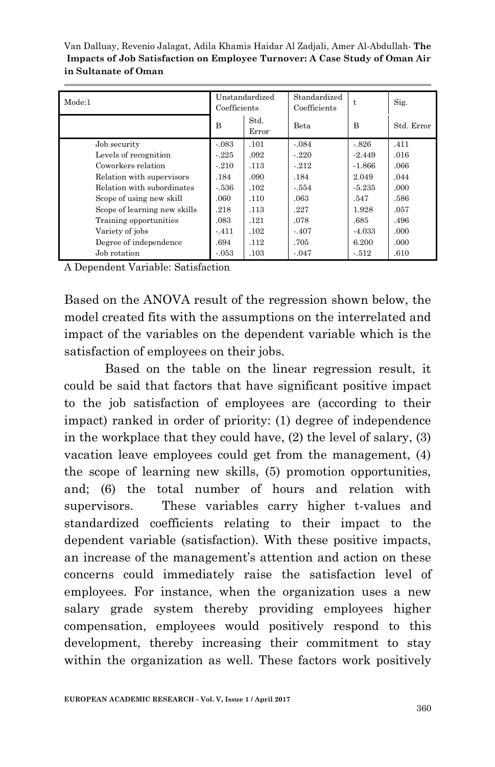| Mode:1                       | Unstandardized<br>Coefficients |               | Standardized<br>Coefficients | t.       | Sig.       |
|------------------------------|--------------------------------|---------------|------------------------------|----------|------------|
|                              | B                              | Std.<br>Error | Beta                         | B        | Std. Error |
| Job security                 | $-.083$                        | .101          | $-.084$                      | $-826$   | .411       |
| Levels of recognition        | $-225$                         | .092          | $-220$                       | $-2.449$ | .016       |
| Coworkers relation           | $-210$                         | .113          | $-212$                       | $-1.866$ | .066       |
| Relation with supervisors    | .184                           | .090          | .184                         | 2.049    | .044       |
| Relation with subordinates   | - 536                          | .102          | $-554$                       | $-5.235$ | .000.      |
| Scope of using new skill     | .060                           | .110          | .063                         | .547     | .586       |
| Scope of learning new skills | .218                           | .113          | .227                         | 1.928    | .057       |
| Training opportunities       | .083                           | .121          | .078                         | .685     | .496       |
| Variety of jobs              | $-411$                         | .102          | $-.407$                      | $-4.033$ | .000       |
| Degree of independence       | .694                           | .112          | .705                         | 6.200    | .000.      |
| Job rotation                 | $-.053$                        | .103          | $-.047$                      | $-512$   | .610       |

A Dependent Variable: Satisfaction

Based on the ANOVA result of the regression shown below, the model created fits with the assumptions on the interrelated and impact of the variables on the dependent variable which is the satisfaction of employees on their jobs.

Based on the table on the linear regression result, it could be said that factors that have significant positive impact to the job satisfaction of employees are (according to their impact) ranked in order of priority: (1) degree of independence in the workplace that they could have, (2) the level of salary, (3) vacation leave employees could get from the management, (4) the scope of learning new skills, (5) promotion opportunities, and; (6) the total number of hours and relation with supervisors. These variables carry higher t-values and standardized coefficients relating to their impact to the dependent variable (satisfaction). With these positive impacts, an increase of the management's attention and action on these concerns could immediately raise the satisfaction level of employees. For instance, when the organization uses a new salary grade system thereby providing employees higher compensation, employees would positively respond to this development, thereby increasing their commitment to stay within the organization as well. These factors work positively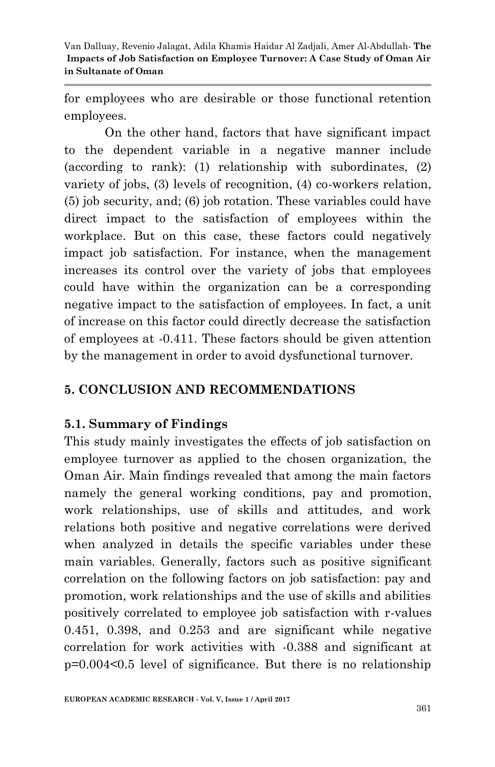for employees who are desirable or those functional retention employees.

On the other hand, factors that have significant impact to the dependent variable in a negative manner include (according to rank): (1) relationship with subordinates, (2) variety of jobs, (3) levels of recognition, (4) co-workers relation, (5) job security, and; (6) job rotation. These variables could have direct impact to the satisfaction of employees within the workplace. But on this case, these factors could negatively impact job satisfaction. For instance, when the management increases its control over the variety of jobs that employees could have within the organization can be a corresponding negative impact to the satisfaction of employees. In fact, a unit of increase on this factor could directly decrease the satisfaction of employees at -0.411. These factors should be given attention by the management in order to avoid dysfunctional turnover.

#### **5. CONCLUSION AND RECOMMENDATIONS**

#### **5.1. Summary of Findings**

This study mainly investigates the effects of job satisfaction on employee turnover as applied to the chosen organization, the Oman Air. Main findings revealed that among the main factors namely the general working conditions, pay and promotion, work relationships, use of skills and attitudes, and work relations both positive and negative correlations were derived when analyzed in details the specific variables under these main variables. Generally, factors such as positive significant correlation on the following factors on job satisfaction: pay and promotion, work relationships and the use of skills and abilities positively correlated to employee job satisfaction with r-values 0.451, 0.398, and 0.253 and are significant while negative correlation for work activities with -0.388 and significant at p=0.004<0.5 level of significance. But there is no relationship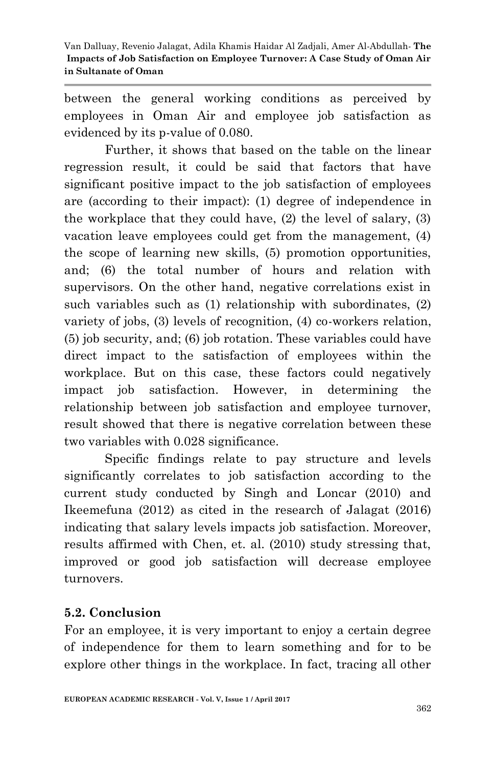between the general working conditions as perceived by employees in Oman Air and employee job satisfaction as evidenced by its p-value of 0.080.

Further, it shows that based on the table on the linear regression result, it could be said that factors that have significant positive impact to the job satisfaction of employees are (according to their impact): (1) degree of independence in the workplace that they could have, (2) the level of salary, (3) vacation leave employees could get from the management, (4) the scope of learning new skills, (5) promotion opportunities, and; (6) the total number of hours and relation with supervisors. On the other hand, negative correlations exist in such variables such as (1) relationship with subordinates, (2) variety of jobs, (3) levels of recognition, (4) co-workers relation, (5) job security, and; (6) job rotation. These variables could have direct impact to the satisfaction of employees within the workplace. But on this case, these factors could negatively impact job satisfaction. However, in determining the relationship between job satisfaction and employee turnover, result showed that there is negative correlation between these two variables with 0.028 significance.

Specific findings relate to pay structure and levels significantly correlates to job satisfaction according to the current study conducted by Singh and Loncar (2010) and Ikeemefuna (2012) as cited in the research of Jalagat (2016) indicating that salary levels impacts job satisfaction. Moreover, results affirmed with Chen, et. al. (2010) study stressing that, improved or good job satisfaction will decrease employee turnovers.

# **5.2. Conclusion**

For an employee, it is very important to enjoy a certain degree of independence for them to learn something and for to be explore other things in the workplace. In fact, tracing all other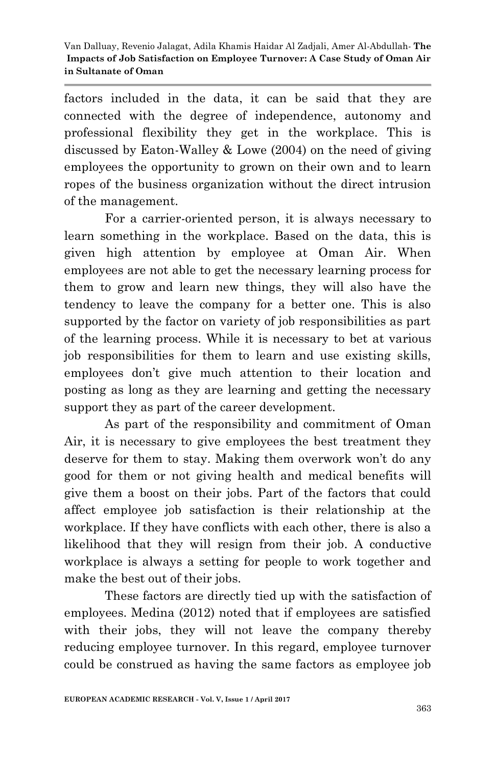factors included in the data, it can be said that they are connected with the degree of independence, autonomy and professional flexibility they get in the workplace. This is discussed by Eaton-Walley & Lowe (2004) on the need of giving employees the opportunity to grown on their own and to learn ropes of the business organization without the direct intrusion of the management.

For a carrier-oriented person, it is always necessary to learn something in the workplace. Based on the data, this is given high attention by employee at Oman Air. When employees are not able to get the necessary learning process for them to grow and learn new things, they will also have the tendency to leave the company for a better one. This is also supported by the factor on variety of job responsibilities as part of the learning process. While it is necessary to bet at various job responsibilities for them to learn and use existing skills, employees don"t give much attention to their location and posting as long as they are learning and getting the necessary support they as part of the career development.

As part of the responsibility and commitment of Oman Air, it is necessary to give employees the best treatment they deserve for them to stay. Making them overwork won"t do any good for them or not giving health and medical benefits will give them a boost on their jobs. Part of the factors that could affect employee job satisfaction is their relationship at the workplace. If they have conflicts with each other, there is also a likelihood that they will resign from their job. A conductive workplace is always a setting for people to work together and make the best out of their jobs.

These factors are directly tied up with the satisfaction of employees. Medina (2012) noted that if employees are satisfied with their jobs, they will not leave the company thereby reducing employee turnover. In this regard, employee turnover could be construed as having the same factors as employee job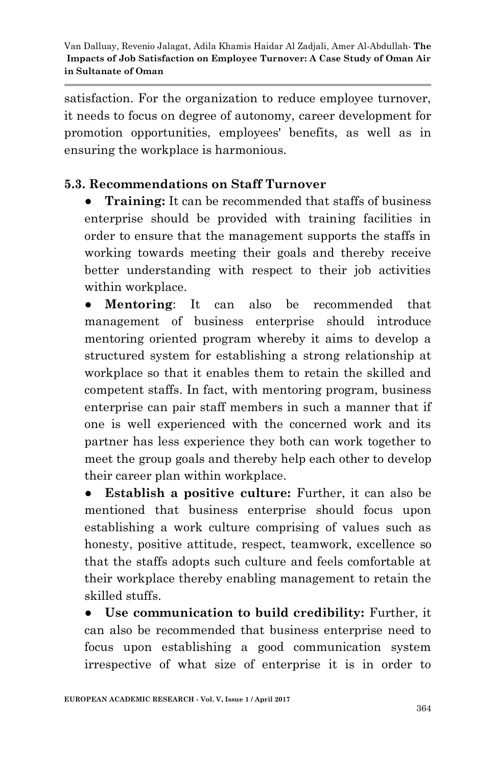satisfaction. For the organization to reduce employee turnover, it needs to focus on degree of autonomy, career development for promotion opportunities, employees' benefits, as well as in ensuring the workplace is harmonious.

# **5.3. Recommendations on Staff Turnover**

● **Training:** It can be recommended that staffs of business enterprise should be provided with training facilities in order to ensure that the management supports the staffs in working towards meeting their goals and thereby receive better understanding with respect to their job activities within workplace.

**Mentoring**: It can also be recommended that management of business enterprise should introduce mentoring oriented program whereby it aims to develop a structured system for establishing a strong relationship at workplace so that it enables them to retain the skilled and competent staffs. In fact, with mentoring program, business enterprise can pair staff members in such a manner that if one is well experienced with the concerned work and its partner has less experience they both can work together to meet the group goals and thereby help each other to develop their career plan within workplace.

**Establish a positive culture:** Further, it can also be mentioned that business enterprise should focus upon establishing a work culture comprising of values such as honesty, positive attitude, respect, teamwork, excellence so that the staffs adopts such culture and feels comfortable at their workplace thereby enabling management to retain the skilled stuffs.

● **Use communication to build credibility:** Further, it can also be recommended that business enterprise need to focus upon establishing a good communication system irrespective of what size of enterprise it is in order to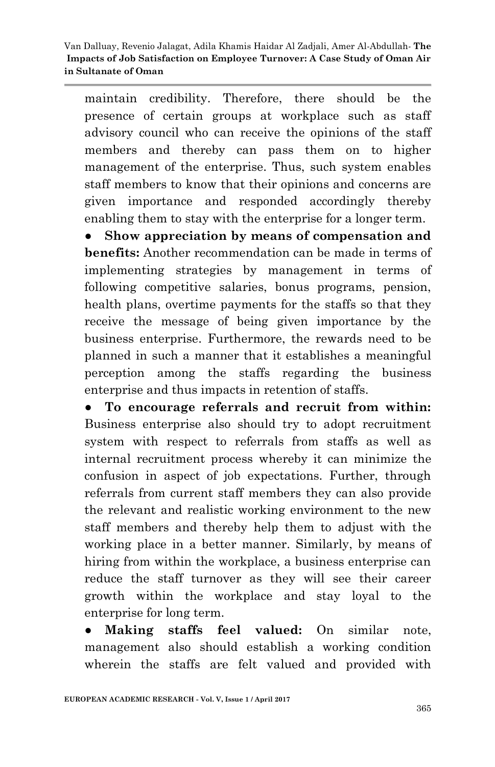maintain credibility. Therefore, there should be the presence of certain groups at workplace such as staff advisory council who can receive the opinions of the staff members and thereby can pass them on to higher management of the enterprise. Thus, such system enables staff members to know that their opinions and concerns are given importance and responded accordingly thereby enabling them to stay with the enterprise for a longer term.

● **Show appreciation by means of compensation and benefits:** Another recommendation can be made in terms of implementing strategies by management in terms of following competitive salaries, bonus programs, pension, health plans, overtime payments for the staffs so that they receive the message of being given importance by the business enterprise. Furthermore, the rewards need to be planned in such a manner that it establishes a meaningful perception among the staffs regarding the business enterprise and thus impacts in retention of staffs.

● **To encourage referrals and recruit from within:**  Business enterprise also should try to adopt recruitment system with respect to referrals from staffs as well as internal recruitment process whereby it can minimize the confusion in aspect of job expectations. Further, through referrals from current staff members they can also provide the relevant and realistic working environment to the new staff members and thereby help them to adjust with the working place in a better manner. Similarly, by means of hiring from within the workplace, a business enterprise can reduce the staff turnover as they will see their career growth within the workplace and stay loyal to the enterprise for long term.

● **Making staffs feel valued:** On similar note, management also should establish a working condition wherein the staffs are felt valued and provided with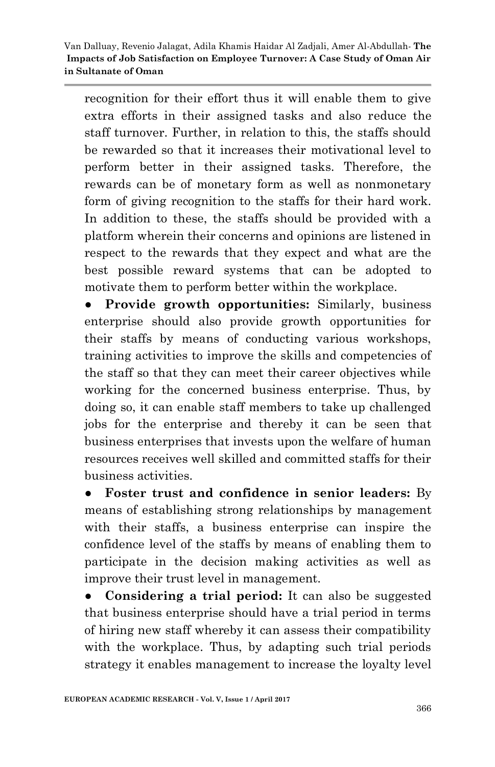recognition for their effort thus it will enable them to give extra efforts in their assigned tasks and also reduce the staff turnover. Further, in relation to this, the staffs should be rewarded so that it increases their motivational level to perform better in their assigned tasks. Therefore, the rewards can be of monetary form as well as nonmonetary form of giving recognition to the staffs for their hard work. In addition to these, the staffs should be provided with a platform wherein their concerns and opinions are listened in respect to the rewards that they expect and what are the best possible reward systems that can be adopted to motivate them to perform better within the workplace.

Provide growth opportunities: Similarly, business enterprise should also provide growth opportunities for their staffs by means of conducting various workshops, training activities to improve the skills and competencies of the staff so that they can meet their career objectives while working for the concerned business enterprise. Thus, by doing so, it can enable staff members to take up challenged jobs for the enterprise and thereby it can be seen that business enterprises that invests upon the welfare of human resources receives well skilled and committed staffs for their business activities.

**Foster trust and confidence in senior leaders:** By means of establishing strong relationships by management with their staffs, a business enterprise can inspire the confidence level of the staffs by means of enabling them to participate in the decision making activities as well as improve their trust level in management.

● **Considering a trial period:** It can also be suggested that business enterprise should have a trial period in terms of hiring new staff whereby it can assess their compatibility with the workplace. Thus, by adapting such trial periods strategy it enables management to increase the loyalty level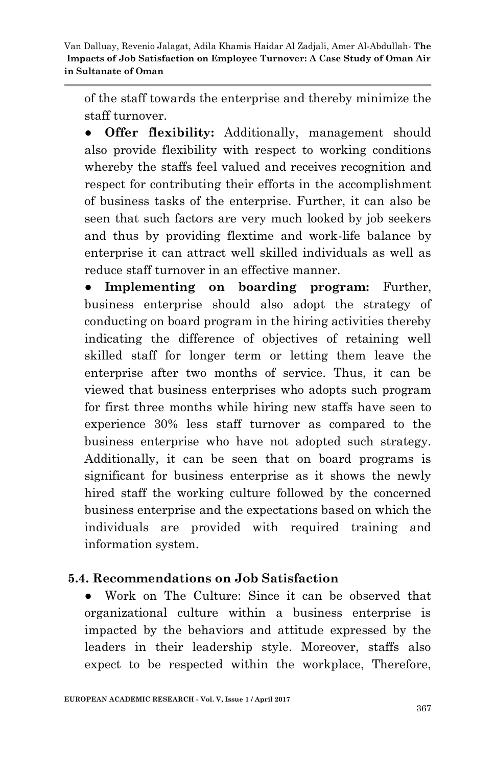of the staff towards the enterprise and thereby minimize the staff turnover.

● **Offer flexibility:** Additionally, management should also provide flexibility with respect to working conditions whereby the staffs feel valued and receives recognition and respect for contributing their efforts in the accomplishment of business tasks of the enterprise. Further, it can also be seen that such factors are very much looked by job seekers and thus by providing flextime and work-life balance by enterprise it can attract well skilled individuals as well as reduce staff turnover in an effective manner.

**Implementing on boarding program:** Further, business enterprise should also adopt the strategy of conducting on board program in the hiring activities thereby indicating the difference of objectives of retaining well skilled staff for longer term or letting them leave the enterprise after two months of service. Thus, it can be viewed that business enterprises who adopts such program for first three months while hiring new staffs have seen to experience 30% less staff turnover as compared to the business enterprise who have not adopted such strategy. Additionally, it can be seen that on board programs is significant for business enterprise as it shows the newly hired staff the working culture followed by the concerned business enterprise and the expectations based on which the individuals are provided with required training and information system.

#### **5.4. Recommendations on Job Satisfaction**

● Work on The Culture: Since it can be observed that organizational culture within a business enterprise is impacted by the behaviors and attitude expressed by the leaders in their leadership style. Moreover, staffs also expect to be respected within the workplace, Therefore,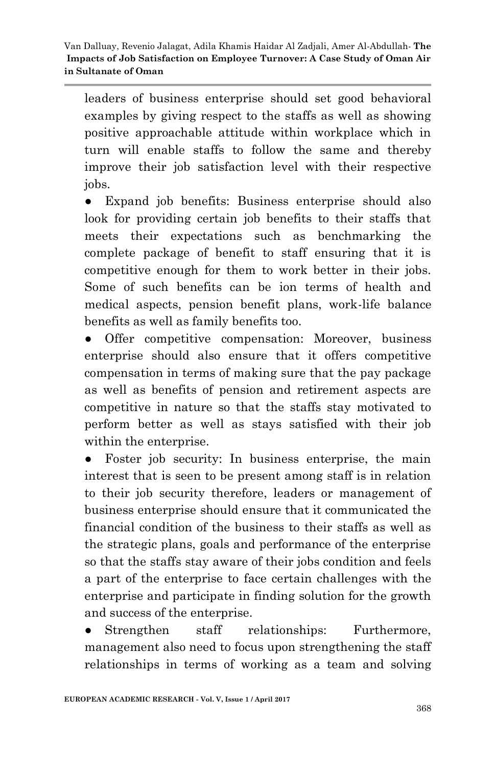leaders of business enterprise should set good behavioral examples by giving respect to the staffs as well as showing positive approachable attitude within workplace which in turn will enable staffs to follow the same and thereby improve their job satisfaction level with their respective jobs.

● Expand job benefits: Business enterprise should also look for providing certain job benefits to their staffs that meets their expectations such as benchmarking the complete package of benefit to staff ensuring that it is competitive enough for them to work better in their jobs. Some of such benefits can be ion terms of health and medical aspects, pension benefit plans, work-life balance benefits as well as family benefits too.

● Offer competitive compensation: Moreover, business enterprise should also ensure that it offers competitive compensation in terms of making sure that the pay package as well as benefits of pension and retirement aspects are competitive in nature so that the staffs stay motivated to perform better as well as stays satisfied with their job within the enterprise.

Foster job security: In business enterprise, the main interest that is seen to be present among staff is in relation to their job security therefore, leaders or management of business enterprise should ensure that it communicated the financial condition of the business to their staffs as well as the strategic plans, goals and performance of the enterprise so that the staffs stay aware of their jobs condition and feels a part of the enterprise to face certain challenges with the enterprise and participate in finding solution for the growth and success of the enterprise.

• Strengthen staff relationships: Furthermore, management also need to focus upon strengthening the staff relationships in terms of working as a team and solving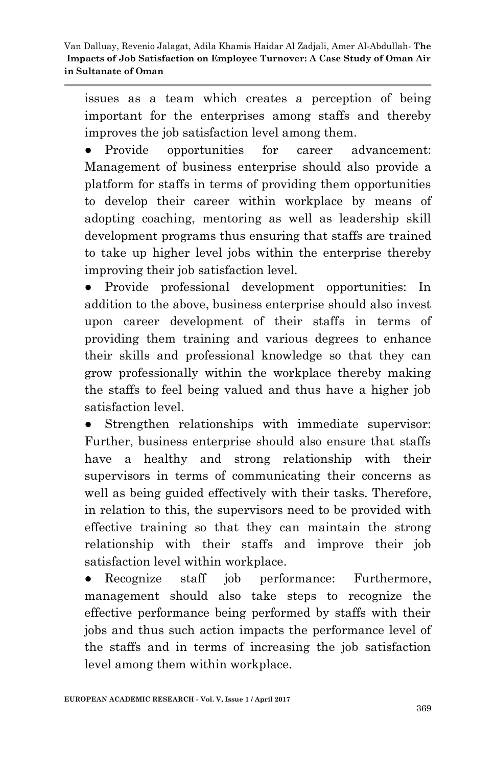issues as a team which creates a perception of being important for the enterprises among staffs and thereby improves the job satisfaction level among them.

● Provide opportunities for career advancement: Management of business enterprise should also provide a platform for staffs in terms of providing them opportunities to develop their career within workplace by means of adopting coaching, mentoring as well as leadership skill development programs thus ensuring that staffs are trained to take up higher level jobs within the enterprise thereby improving their job satisfaction level.

● Provide professional development opportunities: In addition to the above, business enterprise should also invest upon career development of their staffs in terms of providing them training and various degrees to enhance their skills and professional knowledge so that they can grow professionally within the workplace thereby making the staffs to feel being valued and thus have a higher job satisfaction level.

● Strengthen relationships with immediate supervisor: Further, business enterprise should also ensure that staffs have a healthy and strong relationship with their supervisors in terms of communicating their concerns as well as being guided effectively with their tasks. Therefore, in relation to this, the supervisors need to be provided with effective training so that they can maintain the strong relationship with their staffs and improve their job satisfaction level within workplace.

● Recognize staff job performance: Furthermore, management should also take steps to recognize the effective performance being performed by staffs with their jobs and thus such action impacts the performance level of the staffs and in terms of increasing the job satisfaction level among them within workplace.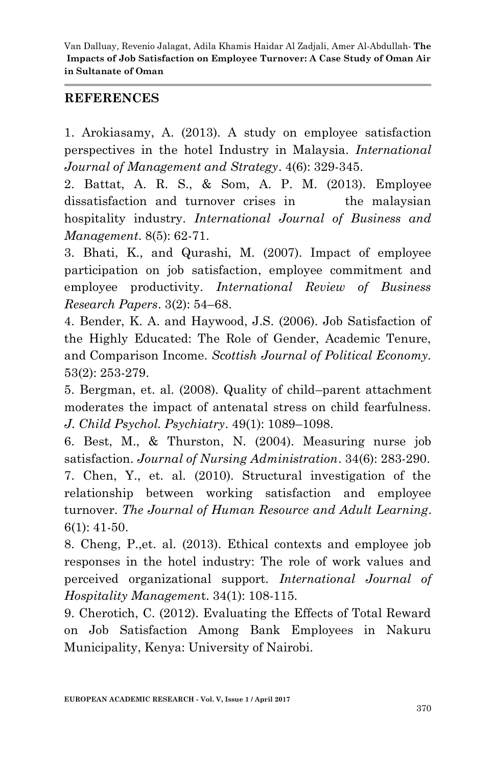#### **REFERENCES**

1. Arokiasamy, A. (2013). A study on employee satisfaction perspectives in the hotel Industry in Malaysia. *International Journal of Management and Strategy*. 4(6): 329-345.

2. Battat, A. R. S., & Som, A. P. M. (2013). Employee dissatisfaction and turnover crises in the malaysian hospitality industry. *International Journal of Business and Management*. 8(5): 62-71.

3. Bhati, K., and Qurashi, M. (2007). Impact of employee participation on job satisfaction, employee commitment and employee productivity. *International Review of Business Research Papers*. 3(2): 54–68.

4. Bender, K. A. and Haywood, J.S. (2006). Job Satisfaction of the Highly Educated: The Role of Gender, Academic Tenure, and Comparison Income. *Scottish Journal of Political Economy.*  53(2): 253-279.

5. Bergman, et. al. (2008). Quality of child–parent attachment moderates the impact of antenatal stress on child fearfulness. *J. Child Psychol. Psychiatry*. 49(1): 1089–1098.

6. Best, M., & Thurston, N. (2004). Measuring nurse job satisfaction. *Journal of Nursing Administration*. 34(6): 283-290.

7. Chen, Y., et. al. (2010). Structural investigation of the relationship between working satisfaction and employee turnover. *The Journal of Human Resource and Adult Learning*. 6(1): 41-50.

8. Cheng, P.,et. al. (2013). Ethical contexts and employee job responses in the hotel industry: The role of work values and perceived organizational support. *International Journal of Hospitality Managemen*t. 34(1): 108-115.

9. Cherotich, C. (2012). Evaluating the Effects of Total Reward on Job Satisfaction Among Bank Employees in Nakuru Municipality, Kenya: University of Nairobi.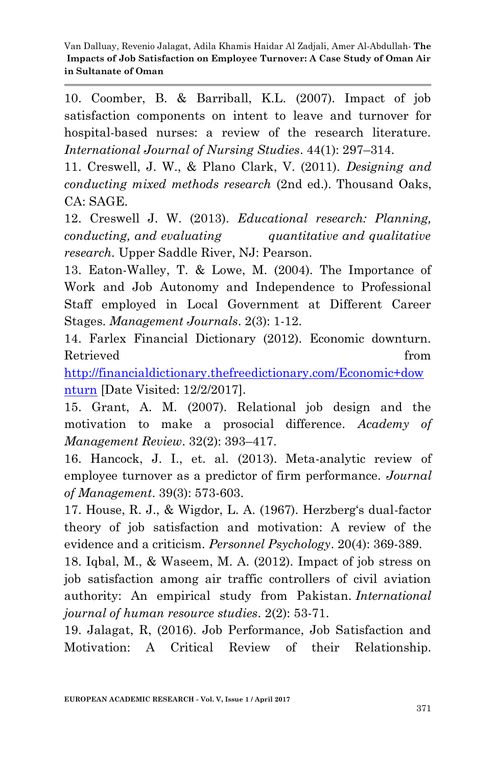10. Coomber, B. & Barriball, K.L. (2007). Impact of job satisfaction components on intent to leave and turnover for hospital-based nurses: a review of the research literature. *International Journal of Nursing Studies*. 44(1): 297–314.

11. Creswell, J. W., & Plano Clark, V. (2011). *Designing and conducting mixed methods research* (2nd ed.). Thousand Oaks, CA: SAGE.

12. Creswell J. W. (2013). *Educational research: Planning, conducting, and evaluating quantitative and qualitative research.* Upper Saddle River, NJ: Pearson.

13. Eaton-Walley, T. & Lowe, M. (2004). The Importance of Work and Job Autonomy and Independence to Professional Staff employed in Local Government at Different Career Stages. *Management Journals*. 2(3): 1-12.

14. Farlex Financial Dictionary (2012). Economic downturn. Retrieved **from** 

[http://financialdictionary.thefreedictionary.com/Economic+dow](http://financialdictionary.thefreedictionary.com/Economic+downturn) [nturn](http://financialdictionary.thefreedictionary.com/Economic+downturn) [Date Visited: 12/2/2017].

15. Grant, A. M. (2007). Relational job design and the motivation to make a prosocial difference. *Academy of Management Review*. 32(2): 393–417.

16. Hancock, J. I., et. al. (2013). Meta-analytic review of employee turnover as a predictor of firm performance. *Journal of Management*. 39(3): 573-603.

17. House, R. J., & Wigdor, L. A. (1967). Herzberg"s dual-factor theory of job satisfaction and motivation: A review of the evidence and a criticism. *Personnel Psychology*. 20(4): 369-389.

18. Iqbal, M., & Waseem, M. A. (2012). Impact of job stress on job satisfaction among air traffic controllers of civil aviation authority: An empirical study from Pakistan. *International journal of human resource studies*. 2(2): 53-71.

19. Jalagat, R, (2016). Job Performance, Job Satisfaction and Motivation: A Critical Review of their Relationship.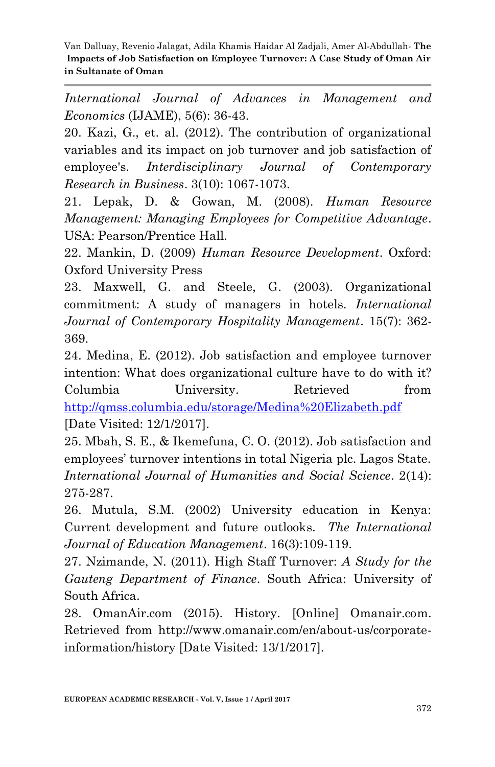*International Journal of Advances in Management and Economics* (IJAME), 5(6): 36-43.

20. Kazi, G., et. al. (2012). The contribution of organizational variables and its impact on job turnover and job satisfaction of employee's. *Interdisciplinary Journal of Contemporary Research in Business*. 3(10): 1067-1073.

21. Lepak, D. & Gowan, M. (2008). *Human Resource Management: Managing Employees for Competitive Advantage*. USA: Pearson/Prentice Hall.

22. Mankin, D. (2009) *Human Resource Development*. Oxford: Oxford University Press

23. Maxwell, G. and Steele, G. (2003). Organizational commitment: A study of managers in hotels. *International Journal of Contemporary Hospitality Management*. 15(7): 362- 369.

24. Medina, E. (2012). Job satisfaction and employee turnover intention: What does organizational culture have to do with it? Columbia University. Retrieved from <http://qmss.columbia.edu/storage/Medina%20Elizabeth.pdf> [Date Visited: 12/1/2017].

25. Mbah, S. E., & Ikemefuna, C. O. (2012). Job satisfaction and employees" turnover intentions in total Nigeria plc. Lagos State. *International Journal of Humanities and Social Science*. 2(14): 275-287.

26. Mutula, S.M. (2002) University education in Kenya: Current development and future outlooks. *The International Journal of Education Management*. 16(3):109-119.

27. Nzimande, N. (2011). High Staff Turnover: *A Study for the Gauteng Department of Finance*. South Africa: University of South Africa.

28. OmanAir.com (2015). History. [Online] Omanair.com. Retrieved from http://www.omanair.com/en/about-us/corporateinformation/history [Date Visited: 13/1/2017].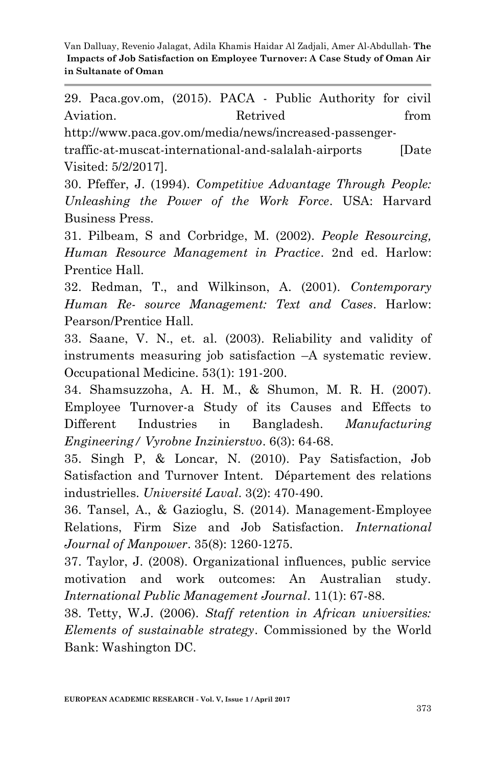29. Paca.gov.om, (2015). PACA - Public Authority for civil Aviation. Retrived from

http://www.paca.gov.om/media/news/increased-passenger-

traffic-at-muscat-international-and-salalah-airports [Date Visited: 5/2/2017].

30. Pfeffer, J. (1994). *Competitive Advantage Through People: Unleashing the Power of the Work Force*. USA: Harvard Business Press.

31. Pilbeam, S and Corbridge, M. (2002). *People Resourcing, Human Resource Management in Practice*. 2nd ed. Harlow: Prentice Hall.

32. Redman, T., and Wilkinson, A. (2001). *Contemporary Human Re- source Management: Text and Cases*. Harlow: Pearson/Prentice Hall.

33. Saane, V. N., et. al. (2003). Reliability and validity of instruments measuring job satisfaction –A systematic review. Occupational Medicine. 53(1): 191-200.

34. Shamsuzzoha, A. H. M., & Shumon, M. R. H. (2007). Employee Turnover-a Study of its Causes and Effects to Different Industries in Bangladesh. *Manufacturing Engineering/ Vyrobne Inzinierstvo*. 6(3): 64-68.

35. Singh P, & Loncar, N. (2010). Pay Satisfaction, Job Satisfaction and Turnover Intent. Département des relations industrielles. *Université Laval*. 3(2): 470-490.

36. Tansel, A., & Gazioglu, S. (2014). Management-Employee Relations, Firm Size and Job Satisfaction. *International Journal of Manpower*. 35(8): 1260-1275.

37. Taylor, J. (2008). Organizational influences, public service motivation and work outcomes: An Australian study. *International Public Management Journal*. 11(1): 67-88.

38. Tetty, W.J. (2006). *Staff retention in African universities: Elements of sustainable strategy*. Commissioned by the World Bank: Washington DC.